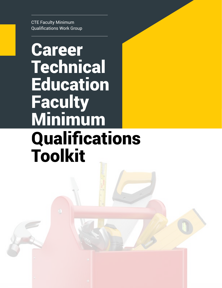CTE Faculty Minimum Qualifications Work Group

# Career **Technical Education Faculty** Minimum **Qualifications** Toolkit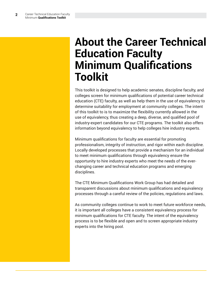#### **About the Career Technical Education Faculty Minimum Qualifications Toolkit**

This toolkit is designed to help academic senates, discipline faculty, and colleges screen for minimum qualifications of potential career technical education (CTE) faculty, as well as help them in the use of equivalency to determine suitability for employment at community colleges. The intent of this toolkit to is to maximize the flexibility currently allowed in the use of equivalency, thus creating a deep, diverse, and qualified pool of industry-expert candidates for our CTE programs. The toolkit also offers information beyond equivalency to help colleges hire industry experts.

Minimum qualifications for faculty are essential for promoting professionalism, integrity of instruction, and rigor within each discipline. Locally developed processes that provide a mechanism for an individual to meet minimum qualifications through equivalency ensure the opportunity to hire industry experts who meet the needs of the everchanging career and technical education programs and emerging disciplines.

The CTE Minimum Qualifications Work Group has had detailed and transparent discussions about minimum qualifications and equivalency processes through a careful review of the policies, regulations and laws.

As community colleges continue to work to meet future workforce needs, it is important all colleges have a consistent equivalency process for minimum qualifications for CTE faculty. The intent of the equivalency process is to be flexible and open and to screen appropriate industry experts into the hiring pool.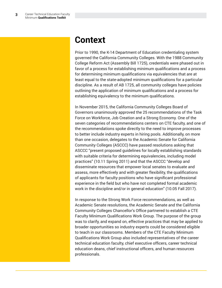#### **Context**

Prior to 1990, the K-14 Department of Education credentialing system governed the California Community Colleges. With the 1988 Community College Reform Act (Assembly Bill 1725), credentials were phased out in favor of a process for establishing minimum qualifications and a process for determining minimum qualifications via equivalencies that are at least equal to the state-adopted minimum qualifications for a particular discipline. As a result of AB 1725, all community colleges have policies outlining the application of minimum qualifications and a process for establishing equivalency to the minimum qualifications.

In November 2015, the California Community Colleges Board of Governors unanimously approved the 25 recommendations of the Task Force on Workforce, Job Creation and a Strong Economy. One of the seven categories of recommendations centers on CTE faculty, and one of the recommendations spoke directly to the need to improve processes to better include industry experts in hiring pools. Additionally, on more than one occasion, delegates to the Academic Senate for California Community Colleges (ASCCC) have passed resolutions asking that ASCCC "present proposed guidelines for locally establishing standards with suitable criteria for determining equivalencies, including model practices" (10.11 Spring 2011) and that the ASCCC "develop and disseminate resources that empower local senates to evaluate and assess, more effectively and with greater flexibility, the qualifications of applicants for faculty positions who have significant professional experience in the field but who have not completed formal academic work in the discipline and/or in general education" (10.05 Fall 2017).

In response to the Strong Work Force recommendations, as well as Academic Senate resolutions, the Academic Senate and the California Community Colleges Chancellor's Office partnered to establish a CTE Faculty Minimum Qualifications Work Group. The purpose of the group was to clarify, and expand on, effective practices that may be applied to broader opportunities so industry experts could be considered eligible to teach in our classrooms. Members of the CTE Faculty Minimum Qualifications Work Group also included representatives of the career technical education faculty, chief executive officers, career technical education deans, chief instructional officers, and human resources professionals.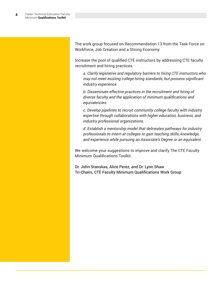The work group focused on Recommendation 13 from the Task Force on Workforce, Job Creation and a Strong Economy:

Increase the pool of qualified CTE instructors by addressing CTE faculty recruitment and hiring practices.

*a. Clarify legislative and regulatory barriers to hiring CTE instructors who may not meet existing college hiring standards, but possess significant industry experience.*

*b. Disseminate effective practices in the recruitment and hiring of diverse faculty and the application of minimum qualifications and equivalencies.*

*c. Develop pipelines to recruit community college faculty with industry expertise through collaborations with higher education, business, and industry professional organizations.*

*d. Establish a mentorship model that delineates pathways for industry professionals to intern at colleges to gain teaching skills, knowledge, and experience while pursuing an Associate's Degree or an equivalent.*

We welcome your suggestions to improve and clarify The CTE Faculty Minimum Qualifications Toolkit.

Dr. John Stanskas, Alice Perez, and Dr. Lynn Shaw Tri-Chairs, CTE Faculty Minimum Qualifications Work Group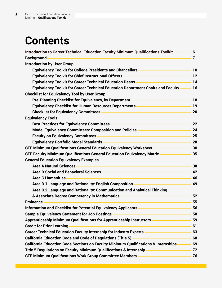## **Contents**

| Introduction to Career Technical Education Faculty Minimum Qualifications Toolkit -                                                                                           | 6              |
|-------------------------------------------------------------------------------------------------------------------------------------------------------------------------------|----------------|
| <b>Background</b>                                                                                                                                                             | $\overline{7}$ |
| <b>Introduction by User Group</b>                                                                                                                                             |                |
| <b>Equivalency Toolkit for College Presidents and Chancellors ––</b>                                                                                                          | 10             |
| <b>Equivalency Toolkit for Chief Instructional Officers</b><br><u> 1989 - Johann Stoff, fransk politik (d. 1989)</u>                                                          | 12             |
| Equivalency Toolkit for Career Technical Education Deans <b>Constitution Constitution</b>                                                                                     | 14             |
| Equivalency Toolkit for Career Technical Education Department Chairs and Faculty-                                                                                             | 16             |
| <b>Checklist for Equivalency Tool by User Group</b>                                                                                                                           |                |
| Pre-Planning Checklist for Equivalency, by Department ————————————————————                                                                                                    | 18             |
| <b>Equivalency Checklist for Human Resources Departments</b>                                                                                                                  | 19             |
| <u> 1989 - Johann Barn, mars ann an t-Amhain an t-Amhain an t-Amhain an t-Amhain an t-Amhain an t-Amhain an t-Amh</u><br><b>Checklist for Equivalency Committees</b>          | 20             |
| <b>Equivalency Tools</b>                                                                                                                                                      |                |
| <b>Best Practices for Equivalency Committees</b><br><u> 1989 - Johann Stein, marwolaethau a bhann an t-Albann an t-Albann an t-Albann an t-Albann an t-Albann an t-Alb</u>    | 22             |
| Model Equivalency Committees: Composition and Policies —————————                                                                                                              | 24             |
| <b>Faculty on Equivalency Committees -</b><br><u> 1989 - Johann Stoff, deutscher Stoffen und der Stoffen und der Stoffen und der Stoffen und der Stoffen und de</u>           | 25             |
| <u> 1989 - Johann Barn, mars ann an t-Amhain an t-Amhain an t-Amhain an t-Amhain an t-Amhain an t-Amhain an t-A</u><br><b>Equivalency Portfolio Model Standards -</b>         | 28             |
| CTE Minimum Qualifications General Education Equivalency Worksheet <b>CHE</b>                                                                                                 | 30             |
| CTE Faculty Minimum Qualifications General Education Equivalency Matrix — <b>CTE</b>                                                                                          | 35             |
| <b>General Education Equivalency Examples</b>                                                                                                                                 |                |
| <b>Area A Natural Sciences</b>                                                                                                                                                | 38             |
| <b>Area B Social and Behavioral Sciences-</b>                                                                                                                                 | 42             |
| <b>Area C Humanities</b>                                                                                                                                                      | 46             |
| Area D.1 Language and Rationality: English Composition<br><u> 1989 - Johann Barn, mars eta bainar eta baina eta baina eta baina eta baina eta baina eta baina eta baina e</u> | 49             |
| Area D.2 Language and Rationality: Communication and Analytical Thinking                                                                                                      |                |
| & Associate Degree Competency in Mathematics                                                                                                                                  | 52             |
| <b>Eminence</b>                                                                                                                                                               | 55             |
| <b>Information and Checklist for Potential Equivalency Applicants</b>                                                                                                         | 56             |
| Sample Equivalency Statement for Job Postings <b>Commission Control Control Control Control Control Control Control</b>                                                       | 58             |
| Apprenticeship Minimum Qualifications for Apprenticeship Instructors <b>Conservation Apprenticeship Minimum</b>                                                               | 59             |
| <u> 1980 - Johann Barn, mars an t-Amerikaansk kommunister (</u><br><b>Credit for Prior Learning</b>                                                                           | 61             |
| Career Technical Education Faculty Internship for Industry Experts <b>Career Technical Education Faculty</b>                                                                  | 63             |
| California Education Code and Code of Regulations (Title 5) <b>California Education Code and Code of Regulations (</b>                                                        |                |
| California Education Code Sections on Faculty Minimum Qualifications & Internships - 69                                                                                       |                |
| Title 5 Regulations on Faculty Minimum Qualifications & Internship <b>Constitutions</b> on Faculty Minimum Qualifications & Internship                                        | 72             |
| CTE Minimum Qualifications Work Group Committee Members <b>CHE</b> Minimum Qualifications Work Group Committee Members                                                        | 76             |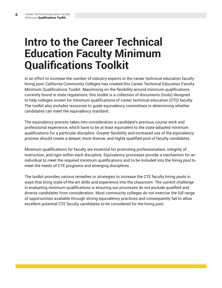#### <span id="page-5-0"></span>**Intro to the Career Technical Education Faculty Minimum Qualifications Toolkit**

In an effort to increase the number of industry experts in the career technical education faculty hiring pool, California Community Colleges has created this Career Technical Education Faculty Minimum Qualifications Toolkit. Maximizing on the flexibility around minimum qualifications currently found in state regulations, this toolkit is a collection of documents (tools) designed to help colleges screen for minimum qualifications of career technical education (CTE) faculty. The toolkit also includes resources to guide equivalency committees in determining whether candidates can meet the equivalency standard.

The equivalency process takes into consideration a candidate's previous course work and professional experience, which have to be at least equivalent to the state-adopted minimum qualifications for a particular discipline. Greater flexibility and increased use of the equivalency process should create a deeper, more diverse, and highly qualified pool of faculty candidates.

Minimum qualifications for faculty are essential for promoting professionalism, integrity of instruction, and rigor within each discipline. Equivalency processes provide a mechanism for an individual to meet the required minimum qualifications and to be included into the hiring pool to meet the needs of CTE programs and emerging disciplines.

The toolkit provides various remedies or strategies to increase the CTE faculty hiring pools in ways that bring state-of-the-art skills and experience into the classroom. The current challenge in evaluating minimum qualifications is ensuring our processes do not exclude qualified and diverse candidates from consideration. Most community colleges do not exercise the full range of opportunities available through strong equivalency practices and consequently fail to allow excellent potential CTE faculty candidates to be considered for the hiring pool.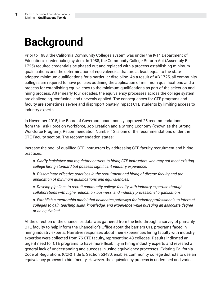## <span id="page-6-0"></span>**Background**

Prior to 1988, the California Community Colleges system was under the K-14 Department of Education's credentialing system. In 1988, the Community College Reform Act (Assembly Bill 1725) required credentials be phased out and replaced with a process establishing minimum qualifications and the determination of equivalencies that are at least equal to the stateadopted minimum qualifications for a particular discipline. As a result of AB 1725, all community colleges are required to have policies outlining the application of minimum qualifications and a process for establishing equivalency to the minimum qualifications as part of the selection and hiring process. After nearly four decades, the equivalency processes across the college system are challenging, confusing, and unevenly applied. The consequences for CTE programs and faculty are sometimes severe and disproportionately impact CTE students by limiting access to industry experts.

In November 2015, the Board of Governors unanimously approved 25 recommendations from the Task Force on Workforce, Job Creation and a Strong Economy (known as the Strong Workforce Program). Recommendation Number 13 is one of the recommendations under the CTE Faculty section. The recommendation states:

Increase the pool of qualified CTE instructors by addressing CTE faculty recruitment and hiring practices.

*a. Clarify legislative and regulatory barriers to hiring CTE instructors who may not meet existing college hiring standard but possess significant industry experience.*

*b. Disseminate effective practices in the recruitment and hiring of diverse faculty and the application of minimum qualifications and equivalencies.*

*c. Develop pipelines to recruit community college faculty with industry expertise through collaborations with higher education, business, and industry professional organizations.*

*d. Establish a mentorship model that delineates pathways for industry professionals to intern at colleges to gain teaching skills, knowledge, and experience while pursuing an associate degree or an equivalent.*

At the direction of the chancellor, data was gathered from the field through a survey of primarily CTE faculty to help inform the Chancellor's Office about the barriers CTE programs faced in hiring industry experts. Narrative responses about their experiences hiring faculty with industry expertise were collected from 76 CTE faculty, representing 43 colleges. Results indicated an urgent need for CTE programs to have more flexibility in hiring industry experts and revealed a general lack of understanding and success in using equivalency processes. Existing California Code of Regulations (CCR) Title 5, Section 53430, enables community college districts to use an equivalency process to hire faculty. However, the equivalency process is underused and varies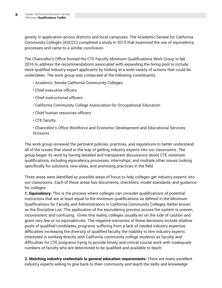greatly in application across districts and local campuses. The Academic Senate for California Community Colleges (ASCCC) completed a study in 2015 that examined the use of equivalency processes and came to a similar conclusion.

The Chancellor's Office formed the CTE Faculty Minimum Qualifications Work Group in fall 2016 to address the recommendations associated with expanding the hiring pool to include more qualified industry-expert applicants by looking at a wide variety of actions that could be undertaken. The work group was composed of the following constituents:

- Academic Senate California Community Colleges
- Chief executive officers
- Chief instructional officers
- California Community College Association for Occupational Education
- Chief human resources officers
- CTE faculty

• Chancellor's Office Workforce and Economic Development and Educational Services **Divisions** 

The work group reviewed the pertinent policies, practices, and regulations to better understand all of the issues that stand in the way of getting industry experts into our classrooms. The group began its work by having detailed and transparent discussions about CTE minimum qualifications, including equivalency processes, internships, and multiple other issues looking specifically for solutions, new ideas, and promising practices in the field.

Three areas were identified as possible areas of focus to help colleges get industry experts into our classrooms. Each of these areas has documents, checklists, model standards, and guidance for colleges.

**1. Equivalency:** This is the process where colleges can consider qualifications of potential instructors that are at least equal to the minimum qualifications as defined in the Minimum Qualifications for Faculty and Administrators in California Community Colleges, better known as the Discipline List. The application of the equivalency process across the system is uneven, inconsistent, and confusing. Given this reality, colleges usually err on the side of caution and grant very few or no equivalencies. The negative outcomes of these decisions include shallow pools of qualified candidates, programs suffering from a lack of needed industry expertise, difficulties increasing the diversity of qualified faculty, the inability to hire industry experts interested in working directly with California community college students as faculty, and difficulties for CTE programs trying to provide timely and critical course work with inadequate numbers of faculty who are determined to be qualified and available to teach.

2. Matching industry credentials to general education requirements: There are many excellent industry experts willing to give back to their community and teach the skills and knowledge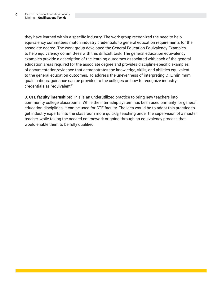they have learned within a specific industry. The work group recognized the need to help equivalency committees match industry credentials to general education requirements for the associate degree. The work group developed the General Education Equivalency Examples to help equivalency committees with this difficult task. The general education equivalency examples provide a description of the learning outcomes associated with each of the general education areas required for the associate degree and provides discipline-specific examples of documentation/evidence that demonstrates the knowledge, skills, and abilities equivalent to the general education outcomes. To address the unevenness of interpreting CTE minimum qualifications, guidance can be provided to the colleges on how to recognize industry credentials as "equivalent."

**3. CTE faculty internships:** This is an underutilized practice to bring new teachers into community college classrooms. While the internship system has been used primarily for general education disciplines, it can be used for CTE faculty. The idea would be to adapt this practice to get industry experts into the classroom more quickly, teaching under the supervision of a master teacher, while taking the needed coursework or going through an equivalency process that would enable them to be fully qualified.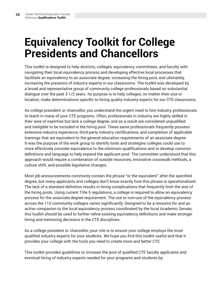## <span id="page-9-0"></span>**Equivalency Toolkit for College Presidents and Chancellors**

This toolkit is designed to help districts, colleges, equivalency committees, and faculty with navigating their local equivalency process and developing effective local processes that facilitate an equivalency to an associate degree, increasing the hiring pool, and ultimately, increasing the presence of industry experts in our classrooms. The toolkit was developed by a broad and representative group of community college professionals based on substantial dialogue over the past 3 1/2 years. Its purpose is to help colleges, no matter their size or location, make determinations specific to hiring quality industry experts for our CTE classrooms.

As college president or chancellor, you understand the urgent need to hire industry professionals to teach in many of your CTE programs. Often, professionals in industry are highly skilled in their area of expertise but lack a college degree, and as a result are considered unqualified and ineligible to be included in the hiring pool. These same professionals frequently possess extensive industry experience, third-party industry certifications, and completion of applicable trainings that are equivalent to the general education requirements of an associate degree. It was the purpose of the work group to identify tools and strategies colleges could use to more effectively consider equivalence to the minimum qualifications and to develop common definitions and language to help expand the applicant pool. The committee understood that this approach would require a combination of outside resources, innovative crosswalk methods, a culture shift, and possible legislative changes.

Most job announcements commonly contain the phrase "or the equivalent" after the specified degree, but many applicants and colleges don't know exactly how this phrase is operationalized. The lack of a standard definition results in hiring complications that frequently limit the size of the hiring pools. Using current Title 5 regulations, a college is required to allow an equivalency process for the associate degree requirement. The use or non-use of the equivalency process across the 115 community colleges varies significantly. Designed to be a resource for and an active companion to the local equivalency process coordinated by the local Academic Senate, this toolkit should be used to further refine existing equivalency definitions and make stronger hiring and mentoring decisions in the CTE disciplines.

As a college president or chancellor, your role is to ensure your college employs the most qualified industry experts for your students. We hope you find this toolkit useful and that it provides your college with the tools you need to create more and better CTE.

This toolkit provides guidelines to increase the pool of qualified CTE faculty applicants and eventual hiring of industry experts needed for your programs and students by: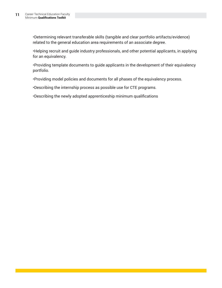•Determining relevant transferable skills (tangible and clear portfolio artifacts/evidence) related to the general education area requirements of an associate degree.

•Helping recruit and guide industry professionals, and other potential applicants, in applying for an equivalency.

•Providing template documents to guide applicants in the development of their equivalency portfolio.

•Providing model policies and documents for all phases of the equivalency process.

•Describing the internship process as possible use for CTE programs.

•Describing the newly adopted apprenticeship minimum qualifications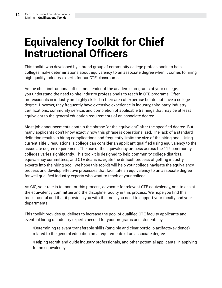## <span id="page-11-0"></span>**Equivalency Toolkit for Chief Instructional Officers**

This toolkit was developed by a broad group of community college professionals to help colleges make determinations about equivalency to an associate degree when it comes to hiring high-quality industry experts for our CTE classrooms.

As the chief instructional officer and leader of the academic programs at your college, you understand the need to hire industry professionals to teach in CTE programs. Often, professionals in industry are highly skilled in their area of expertise but do not have a college degree. However, they frequently have extensive experience in industry, third-party industry certifications, community service, and completion of applicable trainings that may be at least equivalent to the general education requirements of an associate degree.

Most job announcements contain the phrase "or the equivalent" after the specified degree. But many applicants don't know exactly how this phrase is operationalized. The lack of a standard definition results in hiring complications and frequently limits the size of the hiring pool. Using current Title 5 regulations, a college can consider an applicant qualified using equivalency to the associate degree requirement. The use of the equivalency process across the 115 community colleges varies significantly. This toolkit is designed to help community college districts, equivalency committees, and CTE deans navigate the difficult process of getting industry experts into the hiring pool. We hope this toolkit will help your college navigate the equivalency process and develop effective processes that facilitate an equivalency to an associate degree for well-qualified industry experts who want to teach at your college.

As CIO, your role is to monitor this process, advocate for relevant CTE equivalency, and to assist the equivalency committee and the discipline faculty in this process. We hope you find this toolkit useful and that it provides you with the tools you need to support your faculty and your departments.

This toolkit provides guidelines to increase the pool of qualified CTE faculty applicants and eventual hiring of industry experts needed for your programs and students by:

•Determining relevant transferable skills (tangible and clear portfolio artifacts/evidence) related to the general education area requirements of an associate degree.

•Helping recruit and guide industry professionals, and other potential applicants, in applying for an equivalency.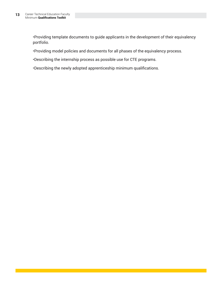•Providing template documents to guide applicants in the development of their equivalency portfolio.

- •Providing model policies and documents for all phases of the equivalency process.
- •Describing the internship process as possible use for CTE programs.
- •Describing the newly adopted apprenticeship minimum qualifications.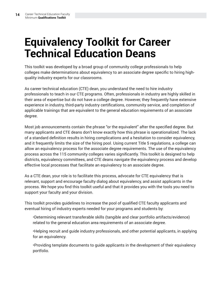## <span id="page-13-0"></span>**Equivalency Toolkit for Career Technical Education Deans**

This toolkit was developed by a broad group of community college professionals to help colleges make determinations about equivalency to an associate degree specific to hiring highquality industry experts for our classrooms.

As career technical education (CTE) dean, you understand the need to hire industry professionals to teach in our CTE programs. Often, professionals in industry are highly skilled in their area of expertise but do not have a college degree. However, they frequently have extensive experience in industry, third-party industry certifications, community service, and completion of applicable trainings that are equivalent to the general education requirements of an associate degree.

Most job announcements contain the phrase "or the equivalent" after the specified degree. But many applicants and CTE deans don't know exactly how this phrase is operationalized. The lack of a standard definition results in hiring complications and a hesitation to consider equivalency, and it frequently limits the size of the hiring pool. Using current Title 5 regulations, a college can allow an equivalency process for the associate degree requirements. The use of the equivalency process across the 115 community colleges varies significantly. This toolkit is designed to help districts, equivalency committees, and CTE deans navigate the equivalency process and develop effective local processes that facilitate an equivalency to an associate degree.

As a CTE dean, your role is to facilitate this process, advocate for CTE equivalency that is relevant, support and encourage faculty dialog about equivalency, and assist applicants in the process. We hope you find this toolkit useful and that it provides you with the tools you need to support your faculty and your division.

This toolkit provides guidelines to increase the pool of qualified CTE faculty applicants and eventual hiring of industry experts needed for your programs and students by:

•Determining relevant transferable skills (tangible and clear portfolio artifacts/evidence) related to the general education area requirements of an associate degree.

•Helping recruit and guide industry professionals, and other potential applicants, in applying for an equivalency.

•Providing template documents to guide applicants in the development of their equivalency portfolio.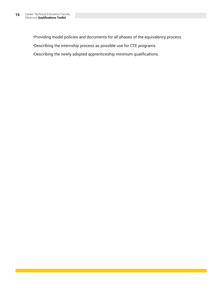•Providing model policies and documents for all phases of the equivalency process.

- •Describing the internship process as possible use for CTE programs.
- •Describing the newly adopted apprenticeship minimum qualifications.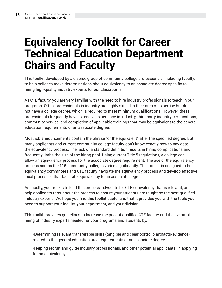#### <span id="page-15-0"></span>**Equivalency Toolkit for Career Technical Education Department Chairs and Faculty**

This toolkit developed by a diverse group of community college professionals, including faculty, to help colleges make determinations about equivalency to an associate degree specific to hiring high-quality industry experts for our classrooms.

As CTE faculty, you are very familiar with the need to hire industry professionals to teach in our programs. Often, professionals in industry are highly skilled in their area of expertise but do not have a college degree, which is required to meet minimum qualifications. However, these professionals frequently have extensive experience in industry, third-party industry certifications, community service, and completion of applicable trainings that may be equivalent to the general education requirements of an associate degree.

Most job announcements contain the phrase "or the equivalent" after the specified degree. But many applicants and current community college faculty don't know exactly how to navigate the equivalency process. The lack of a standard definition results in hiring complications and frequently limits the size of the hiring pool. Using current Title 5 regulations, a college can allow an equivalency process for the associate degree requirement. The use of the equivalency process across the 115 community colleges varies significantly. This toolkit is designed to help equivalency committees and CTE faculty navigate the equivalency process and develop effective local processes that facilitate equivalency to an associate degree.

As faculty, your role is to lead this process, advocate for CTE equivalency that is relevant, and help applicants throughout the process to ensure your students are taught by the best-qualified industry experts. We hope you find this toolkit useful and that it provides you with the tools you need to support your faculty, your department, and your division.

This toolkit provides guidelines to increase the pool of qualified CTE faculty and the eventual hiring of industry experts needed for your programs and students by:

•Determining relevant transferable skills (tangible and clear portfolio artifacts/evidence) related to the general education area requirements of an associate degree.

•Helping recruit and guide industry professionals, and other potential applicants, in applying for an equivalency.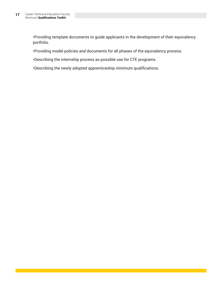•Providing template documents to guide applicants in the development of their equivalency portfolio.

- •Providing model policies and documents for all phases of the equivalency process.
- •Describing the internship process as possible use for CTE programs.
- •Describing the newly adopted apprenticeship minimum qualifications.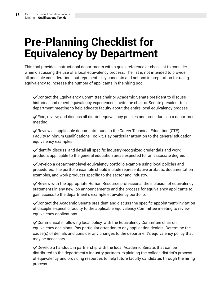## <span id="page-17-0"></span>**Pre-Planning Checklist for Equivalency by Department**

This tool provides instructional departments with a quick reference or checklist to consider when discussing the use of a local equivalency process. The list is not intended to provide all possible considerations but represents key concepts and actions in preparation for using equivalency to increase the number of applicants in the hiring pool.

 $\checkmark$  Contact the Equivalency Committee chair or Academic Senate president to discuss historical and recent equivalency experiences. Invite the chair or Senate president to a department meeting to help educate faculty about the entire local equivalency process.

 $\checkmark$  Find, review, and discuss all district equivalency policies and procedures in a department meeting.

 $\blacktriangledown$  Review all applicable documents found in the Career Technical Education (CTE) Faculty Minimum Qualifications Toolkit. Pay particular attention to the general education equivalency examples.

 $\checkmark$  Identify, discuss, and detail all specific industry-recognized credentials and work products applicable to the general education areas expected for an associate degree.

 $\blacktriangledown$ Develop a department-level equivalency portfolio example using local policies and procedures. The portfolio example should include representative artifacts, documentation examples, and work products specific to the sector and industry.

 $\blacktriangledown$  Review with the appropriate Human Resource professional the inclusion of equivalency statements in any new job announcements and the process for equivalency applicants to gain access to the department's example equivalency portfolio.

 $\checkmark$  Contact the Academic Senate president and discuss the specific appointment/invitation of discipline-specific faculty to the applicable Equivalency Committee meeting to review equivalency applications.

 $\checkmark$  Communicate, following local policy, with the Equivalency Committee chair on equivalency decisions. Pay particular attention to any application denials. Determine the cause(s) of denials and consider any changes to the department's equivalency policy that may be necessary.

 $\blacktriangledown$  Develop a handout, in partnership with the local Academic Senate, that can be distributed to the department's industry partners, explaining the college district's process of equivalency and providing resources to help future faculty candidates through the hiring process.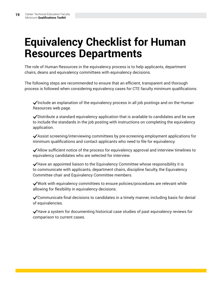## <span id="page-18-0"></span>**Equivalency Checklist for Human Resources Departments**

The role of Human Resources in the equivalency process is to help applicants, department chairs, deans and equivalency committees with equivalency decisions.

The following steps are recommended to ensure that an efficient, transparent and thorough process is followed when considering equivalency cases for CTE faculty minimum qualifications:

 $\blacktriangledown$ Include an explanation of the equivalency process in all job postings and on the Human Resources web page.

 $\blacktriangledown$ Distribute a standard equivalency application that is available to candidates and be sure to include the standards in the job posting with instructions on completing the equivalency application.

 $\blacktriangledown$  Assist screening/interviewing committees by pre-screening employment applications for minimum qualifications and contact applicants who need to file for equivalency.

 $\blacktriangledown$  Allow sufficient notice of the process for equivalency approval and interview timelines to equivalency candidates who are selected for interview.

 $\blacktriangledown$  Have an appointed liaison to the Equivalency Committee whose responsibility it is to communicate with applicants, department chairs, discipline faculty, the Equivalency Committee chair and Equivalency Committee members.

 $\sqrt{\frac{1}{\sqrt{\pi}}}$  work with equivalency committees to ensure policies/procedures are relevant while allowing for flexibility in equivalency decisions.

 $\checkmark$  Communicate final decisions to candidates in a timely manner, including basis for denial of equivalencies.

 $\blacktriangledown$  Have a system for documenting historical case studies of past equivalency reviews for comparison to current cases.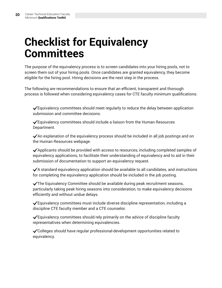#### <span id="page-19-0"></span>**Checklist for Equivalency Committees**

The purpose of the equivalency process is to screen candidates into your hiring pools, not to screen them out of your hiring pools. Once candidates are granted equivalency, they become eligible for the hiring pool. Hiring decisions are the next step in the process.

The following are recommendations to ensure that an efficient, transparent and thorough process is followed when considering equivalency cases for CTE faculty minimum qualifications:

 $\checkmark$  Equivalency committees should meet regularly to reduce the delay between application submission and committee decisions.

 $\checkmark$ Equivalency committees should include a liaison from the Human Resources Department.

 $\blacktriangledown$  An explanation of the equivalency process should be included in all job postings and on the Human Resources webpage.

 $\blacktriangledown$  Applicants should be provided with access to resources, including completed samples of equivalency applications, to facilitate their understanding of equivalency and to aid in their submission of documentation to support an equivalency request.

 $\blacktriangledown$  A standard equivalency application should be available to all candidates, and instructions for completing the equivalency application should be included in the job posting.

 $\blacktriangledown$ The Equivalency Committee should be available during peak recruitment seasons, particularly taking peak hiring seasons into consideration, to make equivalency decisions efficiently and without undue delays.

 $\checkmark$ Equivalency committees must include diverse discipline representation, including a discipline CTE faculty member and a CTE counselor.

 $\checkmark$  Equivalency committees should rely primarily on the advice of discipline faculty representatives when determining equivalencies.

.Colleges should have regular professional-development opportunities related to equivalency.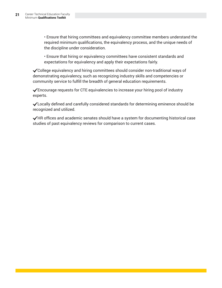• Ensure that hiring committees and equivalency committee members understand the required minimum qualifications, the equivalency process, and the unique needs of the discipline under consideration.

• Ensure that hiring or equivalency committees have consistent standards and expectations for equivalency and apply their expectations fairly.

 $\checkmark$  College equivalency and hiring committees should consider non-traditional ways of demonstrating equivalency, such as recognizing industry skills and competencies or community service to fulfill the breadth of general education requirements.

 $\checkmark$ Encourage requests for CTE equivalencies to increase your hiring pool of industry experts.

 $\checkmark$  Locally defined and carefully considered standards for determining eminence should be recognized and utilized.

 $\blacktriangledown$ HR offices and academic senates should have a system for documenting historical case studies of past equivalency reviews for comparison to current cases.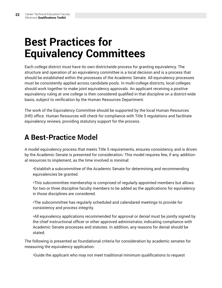## <span id="page-21-0"></span>**Best Practices for Equivalency Committees**

Each college district must have its own districtwide process for granting equivalency. The structure and operation of an equivalency committee is a local decision and is a process that should be established within the processes of the Academic Senate. All equivalency processes must be consistently applied across candidate pools. In multi-college districts, local colleges should work together to make joint equivalency approvals. An applicant receiving a positive equivalency ruling at one college is then considered qualified in that discipline on a district-wide basis, subject to verification by the Human Resources Department.

The work of the Equivalency Committee should be supported by the local Human Resources (HR) office. Human Resources will check for compliance with Title 5 regulations and facilitate equivalency reviews, providing statutory support for the process.

#### **A Best-Practice Model**

A model equivalency process that meets Title 5 requirements, ensures consistency, and is driven by the Academic Senate is presented for consideration. This model requires few, if any, additional resources to implement, as the time involved is minimal:

•Establish a subcommittee of the Academic Senate for determining and recommending equivalencies be granted.

•This subcommittee membership is comprised of regularly appointed members but allows for two or three discipline faculty members to be added as the applications for equivalency in those disciplines are considered.

•The subcommittee has regularly scheduled and calendared meetings to provide for consistency and process integrity.

•All equivalency applications recommended for approval or denial must be jointly signed by the chief instructional officer or other approved administrator, indicating compliance with Academic Senate processes and statutes. In addition, any reasons for denial should be stated.

The following is presented as foundational criteria for consideration by academic senates for measuring the equivalency application:

•Guide the applicant who may not meet traditional minimum qualifications to request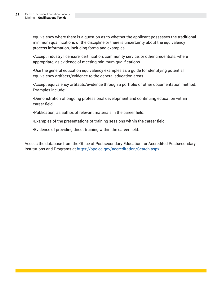equivalency where there is a question as to whether the applicant possesses the traditional minimum qualifications of the discipline or there is uncertainty about the equivalency process information, including forms and examples.

•Accept industry licensure, certification, community service, or other credentials, where appropriate, as evidence of meeting minimum qualifications.

•Use the general education equivalency examples as a guide for identifying potential equivalency artifacts/evidence to the general education areas.

•Accept equivalency artifacts/evidence through a portfolio or other documentation method. Examples include:

•Demonstration of ongoing professional development and continuing education within career field.

•Publication, as author, of relevant materials in the career field.

•Examples of the presentations of training sessions within the career field.

•Evidence of providing direct training within the career field.

Access the database from the Office of Postsecondary Education for Accredited Postsecondary Institutions and Programs at [https://ope.ed.gov/accreditation/Search.aspx.](https://ope.ed.gov/accreditation/Search.aspx.
)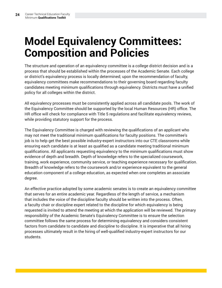## <span id="page-23-0"></span>**Model Equivalency Committees: Composition and Policies**

The structure and operation of an equivalency committee is a college district decision and is a process that should be established within the processes of the Academic Senate. Each college or district's equivalency process is locally determined; upon the recommendation of faculty, equivalency committees make recommendations to their governing board regarding faculty candidates meeting minimum qualifications through equivalency. Districts must have a unified policy for all colleges within the district.

All equivalency processes must be consistently applied across all candidate pools. The work of the Equivalency Committee should be supported by the local Human Resources (HR) office. The HR office will check for compliance with Title 5 regulations and facilitate equivalency reviews, while providing statutory support for the process.

The Equivalency Committee is charged with reviewing the qualifications of an applicant who may not meet the traditional minimum qualifications for faculty positions. The committee's job is to help get the best possible industry-expert instructors into our CTE classrooms while ensuring each candidate is at least as qualified as a candidate meeting traditional minimum qualifications. All applicants requesting equivalency to the minimum qualifications must show evidence of depth and breadth. Depth of knowledge refers to the specialized coursework, training, work experience, community service, or teaching experience necessary for qualification. Breadth of knowledge refers to the coursework and/or experience equivalent to the general education component of a college education, as expected when one completes an associate degree.

An effective practice adopted by some academic senates is to create an equivalency committee that serves for an entire academic year. Regardless of the length of service, a mechanism that includes the voice of the discipline faculty should be written into the process. Often, a faculty chair or discipline expert related to the discipline for which equivalency is being requested is invited to attend the meeting at which the application will be reviewed. The primary responsibility of the Academic Senate's Equivalency Committee is to ensure the selection committee follows the same process for determining equivalency and considers consistent factors from candidate to candidate and discipline to discipline. It is imperative that all hiring processes ultimately result in the hiring of well-qualified industry-expert instructors for our students.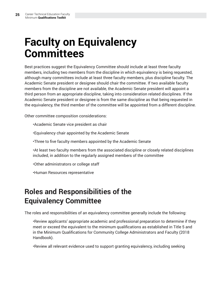### <span id="page-24-0"></span>**Faculty on Equivalency Committees**

Best practices suggest the Equivalency Committee should include at least three faculty members, including two members from the discipline in which equivalency is being requested, although many committees include at least three faculty members, plus discipline faculty. The Academic Senate president or designee should chair the committee. If two available faculty members from the discipline are not available, the Academic Senate president will appoint a third person from an appropriate discipline, taking into consideration related disciplines. If the Academic Senate president or designee is from the same discipline as that being requested in the equivalency, the third member of the committee will be appointed from a different discipline.

Other committee composition considerations:

•Academic Senate vice president as chair

•Equivalency chair appointed by the Academic Senate

•Three to five faculty members appointed by the Academic Senate

•At least two faculty members from the associated discipline or closely related disciplines included, in addition to the regularly assigned members of the committee

•Other administrators or college staff

•Human Resources representative

#### **Roles and Responsibilities of the Equivalency Committee**

The roles and responsibilities of an equivalency committee generally include the following:

•Review applicants' appropriate academic and professional preparation to determine if they meet or exceed the equivalent to the minimum qualifications as established in Title 5 and in the Minimum Qualifications for Community College Administrators and Faculty (2018 Handbook).

•Review all relevant evidence used to support granting equivalency, including seeking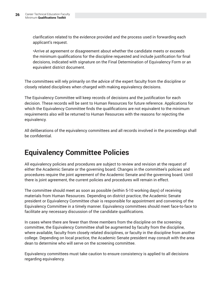<span id="page-25-0"></span>clarification related to the evidence provided and the process used in forwarding each applicant's request.

•Arrive at agreement or disagreement about whether the candidate meets or exceeds the minimum qualifications for the discipline requested and include justification for final decisions, indicated with signature on the Final Determination of Equivalency Form or an equivalent district document.

The committees will rely primarily on the advice of the expert faculty from the discipline or closely related disciplines when charged with making equivalency decisions.

The Equivalency Committee will keep records of decisions and the justification for each decision. These records will be sent to Human Resources for future reference. Applications for which the Equivalency Committee finds the qualifications are not equivalent to the minimum requirements also will be returned to Human Resources with the reasons for rejecting the equivalency.

All deliberations of the equivalency committees and all records involved in the proceedings shall be confidential.

#### **Equivalency Committee Policies**

All equivalency policies and procedures are subject to review and revision at the request of either the Academic Senate or the governing board. Changes in the committee's policies and procedures require the joint agreement of the Academic Senate and the governing board. Until there is joint agreement, the current policies and procedures will remain in effect.

The committee should meet as soon as possible (within 5-10 working days) of receiving materials from Human Resources. Depending on district practice, the Academic Senate president or Equivalency Committee chair is responsible for appointment and convening of the Equivalency Committee in a timely manner. Equivalency committees should meet face-to-face to facilitate any necessary discussion of the candidate qualifications.

In cases where there are fewer than three members from the discipline on the screening committee, the Equivalency Committee shall be augmented by faculty from the discipline, where available, faculty from closely related disciplines, or faculty in the discipline from another college. Depending on local practice, the Academic Senate president may consult with the area dean to determine who will serve on the screening committee.

Equivalency committees must take caution to ensure consistency is applied to all decisions regarding equivalency.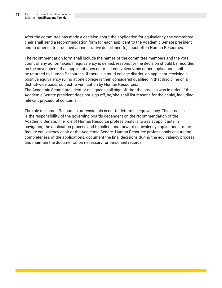After the committee has made a decision about the application for equivalency, the committee chair shall send a recommendation form for each applicant to the Academic Senate president and to other district-defined administrative department(s), most often Human Resources.

The recommendation form shall include the names of the committee members and the vote count of any action taken. If equivalency is denied, reasons for the decision should be recorded on the cover sheet. If an applicant does not meet equivalency, his or her application shall be returned to Human Resources. If there is a multi-college district, an applicant receiving a positive equivalency ruling at one college is then considered qualified in that discipline on a district-wide basis, subject to verification by Human Resources.

The Academic Senate president or designee shall sign off that the process was in order. If the Academic Senate president does not sign off, he/she shall list reasons for the denial, including relevant procedural concerns.

The role of Human Resources professionals is not to determine equivalency. This process is the responsibility of the governing boards dependent on the recommendation of the Academic Senate. The role of Human Resource professionals is to assist applicants in navigating the application process and to collect and forward equivalency applications to the faculty equivalency chair or the Academic Senate. Human Resource professionals ensure the completeness of the applications, document the final decisions during the equivalency process, and maintain the documentation necessary for personnel records.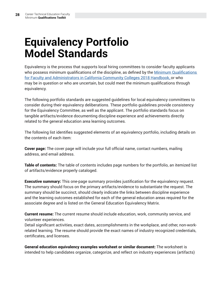## <span id="page-27-0"></span>**Equivalency Portfolio Model Standards**

Equivalency is the process that supports local hiring committees to consider faculty applicants who possess minimum qualifications of the discipline, as defined by the [Minimum Qualifications](https://californiacommunitycolleges.cccco.edu/Portals/0/Reports/2019/CCCCO_Report_Min_Qualifications-ADA-Final.pdf)  [for Faculty and Administrators in California Community Colleges 2018 Handbook,](https://californiacommunitycolleges.cccco.edu/Portals/0/Reports/2019/CCCCO_Report_Min_Qualifications-ADA-Final.pdf) or who may be in question or who are uncertain, but could meet the minimum qualifications through equivalency.

The following portfolio standards are suggested guidelines for local equivalency committees to consider during their equivalency deliberations. These portfolio guidelines provide consistency for the Equivalency Committee, as well as the applicant. The portfolio standards focus on tangible artifacts/evidence documenting discipline experience and achievements directly related to the general education area learning outcomes.

The following list identifies suggested elements of an equivalency portfolio, including details on the contents of each item:

**Cover page:** The cover page will include your full official name, contact numbers, mailing address, and email address.

**Table of contents:** The table of contents includes page numbers for the portfolio, an itemized list of artifacts/evidence properly cataloged.

**Executive summary:** This one-page summary provides justification for the equivalency request. The summary should focus on the primary artifacts/evidence to substantiate the request. The summary should be succinct, should clearly indicate the links between discipline experience and the learning outcomes established for each of the general education areas required for the associate degree and is listed on the General Education Equivalency Matrix.

**Current resume:** The current resume should include education, work, community service, and volunteer experiences.

Detail significant activities, exact dates, accomplishments in the workplace, and other, non-workrelated learning. The resume should provide the exact names of industry recognized credentials, certificates, and licenses.

General education equivalency examples worksheet or similar document: The worksheet is intended to help candidates organize, categorize, and reflect on industry experiences (artifacts)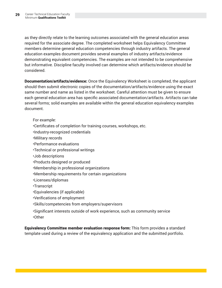as they directly relate to the learning outcomes associated with the general education areas required for the associate degree. The completed worksheet helps Equivalency Committee members determine general education competencies through industry artifacts. The general education examples document provides several examples of industry artifacts/evidence demonstrating equivalent competencies. The examples are not intended to be comprehensive but informative. Discipline faculty involved can determine which artifacts/evidence should be considered.

**Documentation/artifacts/evidence:** Once the Equivalency Worksheet is completed, the applicant should then submit electronic copies of the documentation/artifacts/evidence using the exact same number and name as listed in the worksheet. Careful attention must be given to ensure each general education area has specific associated documentation/artifacts. Artifacts can take several forms; solid examples are available within the general education equivalency examples document.

#### For example:

- •Certificates of completion for training courses, workshops, etc.
- •Industry-recognized credentials
- •Military records
- •Performance evaluations
- •Technical or professional writings
- •Job descriptions
- •Products designed or produced
- •Membership in professional organizations
- •Membership requirements for certain organizations

#### •Licenses/diplomas

- •Transcript
- •Equivalencies (if applicable)
- •Verifications of employment
- •Skills/competencies from employers/supervisors
- •Significant interests outside of work experience, such as community service •Other

Equivalency Committee member evaluation response form: This form provides a standard template used during a review of the equivalency application and the submitted portfolio.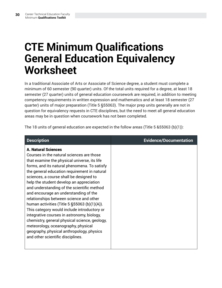#### <span id="page-29-0"></span>**CTE Minimum Qualifications General Education Equivalency Worksheet**

In a traditional Associate of Arts or Associate of Science degree, a student must complete a minimum of 60 semester (90 quarter) units. Of the total units required for a degree, at least 18 semester (27 quarter) units of general education coursework are required, in addition to meeting competency requirements in written expression and mathematics and at least 18 semester (27 quarter) units of major preparation (Title 5 §55063). The major prep units generally are not in question for equivalency requests in CTE disciplines, but the need to meet all general education areas may be in question when coursework has not been completed.

The 18 units of general education are expected in the follow areas (Title 5 & 55063 (b)(1)):

| <b>Description</b>                                                                                                                                                                                                                                                                                                                                                                                                                                                                                                                                                                                                                                                                                                                                                         | <b>Evidence/Documentation</b> |
|----------------------------------------------------------------------------------------------------------------------------------------------------------------------------------------------------------------------------------------------------------------------------------------------------------------------------------------------------------------------------------------------------------------------------------------------------------------------------------------------------------------------------------------------------------------------------------------------------------------------------------------------------------------------------------------------------------------------------------------------------------------------------|-------------------------------|
| <b>A. Natural Sciences</b><br>Courses in the natural sciences are those<br>that examine the physical universe, its life<br>forms, and its natural phenomena. To satisfy<br>the general education requirement in natural<br>sciences, a course shall be designed to<br>help the student develop an appreciation<br>and understanding of the scientific method<br>and encourage an understanding of the<br>relationships between science and other<br>human activities (Title 5 $\S55063$ (b)(1)(A)).<br>This category would include introductory or<br>integrative courses in astronomy, biology,<br>chemistry, general physical science, geology,<br>meteorology, oceanography, physical<br>geography, physical anthropology, physics<br>and other scientific disciplines. |                               |
|                                                                                                                                                                                                                                                                                                                                                                                                                                                                                                                                                                                                                                                                                                                                                                            |                               |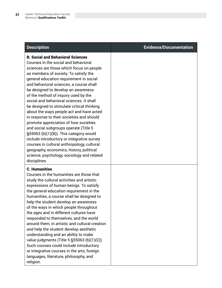| <b>Description</b>                                                                                                                                                                                                                                                                                                                                                                                                                                                                                                                                                                                                                                                                                                                                                                                                                                              | <b>Evidence/Documentation</b> |
|-----------------------------------------------------------------------------------------------------------------------------------------------------------------------------------------------------------------------------------------------------------------------------------------------------------------------------------------------------------------------------------------------------------------------------------------------------------------------------------------------------------------------------------------------------------------------------------------------------------------------------------------------------------------------------------------------------------------------------------------------------------------------------------------------------------------------------------------------------------------|-------------------------------|
| <b>B. Social and Behavioral Sciences</b><br>Courses in the social and behavioral<br>sciences are those which focus on people<br>as members of society. To satisfy the<br>general education requirement in social<br>and behavioral sciences, a course shall<br>be designed to develop an awareness<br>of the method of inquiry used by the<br>social and behavioral sciences. It shall<br>be designed to stimulate critical thinking<br>about the ways people act and have acted<br>in response to their societies and should<br>promote appreciation of how societies<br>and social subgroups operate (Title 5<br>§55063 (b)(1)(B)). This category would<br>include introductory or integrative survey<br>courses in cultural anthropology, cultural<br>geography, economics, history, political<br>science, psychology, sociology and related<br>disciplines. |                               |
| <b>C. Humanities</b><br>Courses in the humanities are those that<br>study the cultural activities and artistic<br>expressions of human beings. To satisfy<br>the general education requirement in the<br>humanities, a course shall be designed to<br>help the student develop an awareness<br>of the ways in which people throughout<br>the ages and in different cultures have<br>responded to themselves, and the world<br>around them, in artistic and cultural creation<br>and help the student develop aesthetic<br>understanding and an ability to make<br>value judgments (Title 5 $\S55063$ (b)(1)(C)).<br>Such courses could include introductory<br>or integrative courses in the arts, foreign<br>languages, literature, philosophy, and<br>religion.                                                                                               |                               |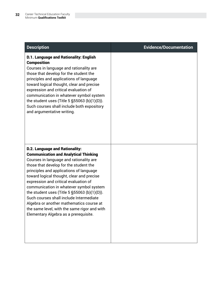| <b>Description</b>                                                                                                                                                                                                                                                                                                                                                                                                                                                                                                                                                                         | <b>Evidence/Documentation</b> |
|--------------------------------------------------------------------------------------------------------------------------------------------------------------------------------------------------------------------------------------------------------------------------------------------------------------------------------------------------------------------------------------------------------------------------------------------------------------------------------------------------------------------------------------------------------------------------------------------|-------------------------------|
| D.1. Language and Rationality: English<br><b>Composition</b><br>Courses in language and rationality are<br>those that develop for the student the<br>principles and applications of language<br>toward logical thought, clear and precise<br>expression and critical evaluation of<br>communication in whatever symbol system<br>the student uses (Title 5 $\S$ 55063 (b)(1)(D)).<br>Such courses shall include both expository<br>and argumentative writing.                                                                                                                              |                               |
| <b>D.2. Language and Rationality:</b><br><b>Communication and Analytical Thinking</b><br>Courses in language and rationality are<br>those that develop for the student the<br>principles and applications of language<br>toward logical thought, clear and precise<br>expression and critical evaluation of<br>communication in whatever symbol system<br>the student uses (Title 5 $\S$ 55063 (b)(1)(D)).<br>Such courses shall include Intermediate<br>Algebra or another mathematics course at<br>the same level, with the same rigor and with<br>Elementary Algebra as a prerequisite. |                               |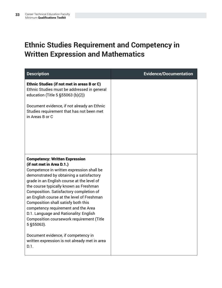#### **Ethnic Studies Requirement and Competency in Written Expression and Mathematics**

| <b>Description</b>                                                                                                                                                                                                                                                                                                                                                                                                                                                                                                                                                                                                              | <b>Evidence/Documentation</b> |
|---------------------------------------------------------------------------------------------------------------------------------------------------------------------------------------------------------------------------------------------------------------------------------------------------------------------------------------------------------------------------------------------------------------------------------------------------------------------------------------------------------------------------------------------------------------------------------------------------------------------------------|-------------------------------|
| Ethnic Studies (if not met in areas B or C)<br>Ethnic Studies must be addressed in general<br>education (Title 5 § 55063 (b)(2))<br>Document evidence, if not already an Ethnic<br>Studies requirement that has not been met<br>in Areas B or C                                                                                                                                                                                                                                                                                                                                                                                 |                               |
| <b>Competency: Written Expression</b><br>(if not met in Area D.1.)<br>Competence in written expression shall be<br>demonstrated by obtaining a satisfactory<br>grade in an English course at the level of<br>the course typically known as Freshman<br>Composition. Satisfactory completion of<br>an English course at the level of Freshman<br>Composition shall satisfy both this<br>competency requirement and the Area<br>D.1. Language and Rationality: English<br>Composition coursework requirement (Title<br>5 §55063).<br>Document evidence, if competency in<br>written expression is not already met in area<br>D.1. |                               |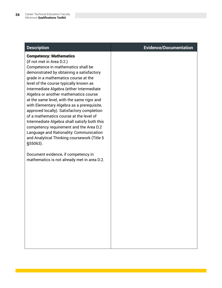| <b>Description</b>                                                                                                                                                                                                                                                                                                                                                                                                                                                                                                                                                                                                                                                                                                                                                                                | <b>Evidence/Documentation</b> |
|---------------------------------------------------------------------------------------------------------------------------------------------------------------------------------------------------------------------------------------------------------------------------------------------------------------------------------------------------------------------------------------------------------------------------------------------------------------------------------------------------------------------------------------------------------------------------------------------------------------------------------------------------------------------------------------------------------------------------------------------------------------------------------------------------|-------------------------------|
| <b>Competency: Mathematics</b><br>(if not met in Area D.2.)<br>Competence in mathematics shall be<br>demonstrated by obtaining a satisfactory<br>grade in a mathematics course at the<br>level of the course typically known as<br>Intermediate Algebra (either Intermediate<br>Algebra or another mathematics course<br>at the same level, with the same rigor and<br>with Elementary Algebra as a prerequisite,<br>approved locally). Satisfactory completion<br>of a mathematics course at the level of<br>Intermediate Algebra shall satisfy both this<br>competency requirement and the Area D.2<br>Language and Rationality: Communication<br>and Analytical Thinking coursework (Title 5<br>§55063).<br>Document evidence, if competency in<br>mathematics is not already met in area D.2. |                               |
|                                                                                                                                                                                                                                                                                                                                                                                                                                                                                                                                                                                                                                                                                                                                                                                                   |                               |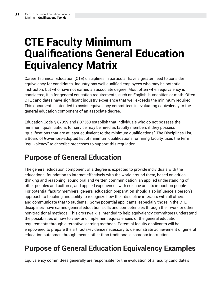#### <span id="page-34-0"></span>**CTE Faculty Minimum Qualifications General Education Equivalency Matrix**

Career Technical Education (CTE) disciplines in particular have a greater need to consider equivalency for candidates. Industry has well-qualified employees who may be potential instructors but who have not earned an associate degree. Most often when equivalency is considered, it is for general education requirements, such as English, humanities or math. Often CTE candidates have significant industry experience that well exceeds the minimum required. This document is intended to assist equivalency committees in evaluating equivalency to the general education component of an associate degree.

Education Code § 87359 and §87360 establish that individuals who do not possess the minimum qualifications for service may be hired as faculty members if they possess "qualifications that are at least equivalent to the minimum qualifications." The Disciplines List, a Board of Governors-adopted list of minimum qualifications for hiring faculty, uses the term "equivalency" to describe processes to support this regulation.

#### **Purpose of General Education**

The general education component of a degree is expected to provide individuals with the educational foundation to interact effectively with the world around them, based on critical thinking and reasoning, sound oral and written communication, an applied understanding of other peoples and cultures, and applied experiences with science and its impact on people. For potential faculty members, general education preparation should also influence a person's approach to teaching and ability to recognize how their discipline interacts with all others and communicate that to students. Some potential applicants, especially those in the CTE disciplines, have earned general education skills and competencies through their work or other non-traditional methods. This crosswalk is intended to help equivalency committees understand the possibilities of how to view and implement equivalencies of the general education requirements through alternative learning methods. Potential faculty applicants will be empowered to prepare the artifacts/evidence necessary to demonstrate achievement of general education outcomes through means other than traditional classroom instruction.

#### **Purpose of General Education Equivalency Examples**

Equivalency committees generally are responsible for the evaluation of a faculty candidate's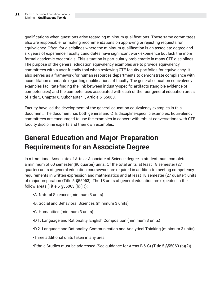qualifications when questions arise regarding minimum qualifications. These same committees also are responsible for making recommendations on approving or rejecting requests for equivalency. Often, for disciplines where the minimum qualification is an associate degree and six years of experience, faculty candidates have significant work experience but lack the more formal academic credentials. This situation is particularly problematic in many CTE disciplines. The purpose of the general education equivalency examples are to provide equivalency committees with a user-friendly tool when reviewing CTE faculty portfolios for equivalency. It also serves as a framework for human resources departments to demonstrate compliance with accreditation standards regarding qualifications of faculty. The general education equivalency examples facilitate finding the link between industry-specific artifacts (tangible evidence of competencies) and the competencies associated with each of the four general education areas of Title 5, Chapter 6, Subchapter 1, Article 6, 55063.

Faculty have led the development of the general education equivalency examples in this document. The document has both general and CTE discipline-specific examples. Equivalency committees are encouraged to use the examples in concert with robust conversations with CTE faculty discipline experts and their own examples.

#### **General Education and Major Preparation Requirements for an Associate Degree**

In a traditional Associate of Arts or Associate of Science degree, a student must complete a minimum of 60 semester (90 quarter) units. Of the total units, at least 18 semester (27 quarter) units of general education coursework are required in addition to meeting competency requirements in written expression and mathematics and at least 18 semester (27 quarter) units of major preparation (Title 5 §55063). The 18 units of general education are expected in the follow areas (Title 5 §55063 (b)(1)):

- •A. Natural Sciences (minimum 3 units)
- •B. Social and Behavioral Sciences (minimum 3 units)
- •C. Humanities (minimum 3 units)
- •D.1. Language and Rationality: English Composition (minimum 3 units)
- •D.2. Language and Rationality: Communication and Analytical Thinking (minimum 3 units)
- •Three additional units taken in any area

•Ethnic Studies must be addressed (See guidance for Areas B & C) (Title 5 §55063 (b)(2))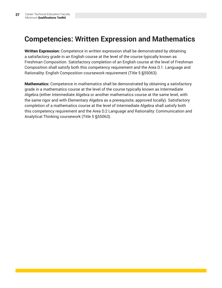#### **Competencies: Written Expression and Mathematics**

Written Expression: Competence in written expression shall be demonstrated by obtaining a satisfactory grade in an English course at the level of the course typically known as Freshman Composition. Satisfactory completion of an English course at the level of Freshman Composition shall satisfy both this competency requirement and the Area D.1. Language and Rationality: English Composition coursework requirement (Title 5 §55063).

**Mathematics:** Competence in mathematics shall be demonstrated by obtaining a satisfactory grade in a mathematics course at the level of the course typically known as Intermediate Algebra (either Intermediate Algebra or another mathematics course at the same level, with the same rigor and with Elementary Algebra as a prerequisite, approved locally). Satisfactory completion of a mathematics course at the level of Intermediate Algebra shall satisfy both this competency requirement and the Area D.2 Language and Rationality: Communication and Analytical Thinking coursework (Title 5 §55063).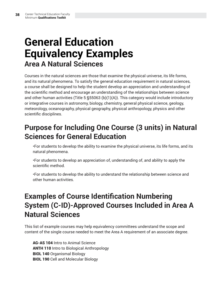## **General Education Equivalency Examples Area A Natural Sciences**

Courses in the natural sciences are those that examine the physical universe, its life forms, and its natural phenomena. To satisfy the general education requirement in natural sciences, a course shall be designed to help the student develop an appreciation and understanding of the scientific method and encourage an understanding of the relationships between science and other human activities (Title 5 §55063 (b)(1)(A)). This category would include introductory or integrative courses in astronomy, biology, chemistry, general physical science, geology, meteorology, oceanography, physical geography, physical anthropology, physics and other scientific disciplines.

#### **Purpose for Including One Course (3 units) in Natural Sciences for General Education**

•For students to develop the ability to examine the physical universe, its life forms, and its natural phenomena.

•For students to develop an appreciation of, understanding of, and ability to apply the scientific method.

•For students to develop the ability to understand the relationship between science and other human activities.

#### **Examples of Course Identification Numbering System (C-ID)-Approved Courses Included in Area A Natural Sciences**

This list of example courses may help equivalency committees understand the scope and content of the single course needed to meet the Area A requirement of an associate degree.

AG-AS 104 Intro to Animal Science ANTH 110 Intro to Biological Anthropology BIOL 140 Organismal Biology BIOL 190 Cell and Molecular Biology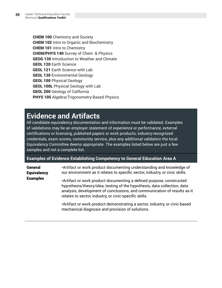CHEM 100 Chemistry and Society **CHEM 102** Intro to Organic and Biochemistry CHEM 101 Intro to Chemistry CHEM/PHYS 140 Survey of Chem. & Physics GEOG 130 Introduction to Weather and Climate GEOL 120 Earth Science GEOL 121 Earth Science with Lab GEOL 130 Environmental Geology GEOL 100 Physical Geology **GEOL 100L Physical Geology with Lab** GEOL 200 Geology of California **PHYS 105** Algebra/Trigonometry-Based Physics

#### **Evidence and Artifacts**

All candidate equivalency documentation and information must be validated. Examples of validations may be an employer statement of experience or performance, external certifications or licensing, published papers or work products, industry-recognized credentials, exam scores, community service, plus any additional validation the local Equivalency Committee deems appropriate. The examples listed below are just a few samples and not a complete list.

#### **Examples of Evidence Establishing Competency to General Education Area A**

| <b>General</b><br><b>Equivalency</b> | • Artifact or work product documenting understanding and knowledge of<br>our environment as it relates to specific sector, industry, or civic skills.                                                                                                                                   |
|--------------------------------------|-----------------------------------------------------------------------------------------------------------------------------------------------------------------------------------------------------------------------------------------------------------------------------------------|
| <b>Examples</b>                      | • Artifact or work product documenting a defined purpose, constructed<br>hypothesis/theory/idea, testing of the hypothesis, data collection, data<br>analysis, development of conclusions, and communication of results as it<br>relates to sector, industry, or civic-specific skills. |
|                                      | • Artifact or work product demonstrating a sector, industry, or civic-based<br>mechanical diagnosis and provision of solutions.                                                                                                                                                         |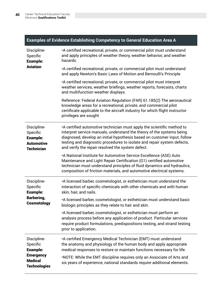|                                                                                                         | Examples of Evidence Establishing Competency to General Education Area A                                                                                                                                                                                                                                                                                              |
|---------------------------------------------------------------------------------------------------------|-----------------------------------------------------------------------------------------------------------------------------------------------------------------------------------------------------------------------------------------------------------------------------------------------------------------------------------------------------------------------|
| Discipline-<br>Specific<br><b>Example:</b>                                                              | •A certified recreational, private, or commercial pilot must understand<br>and apply principles of weather theory, weather behavior, and weather<br>hazards.                                                                                                                                                                                                          |
| <b>Aviation</b>                                                                                         | •A certified recreational, private, or commercial pilot must understand<br>and apply Newton's Basic Laws of Motion and Bernoulli's Principle.                                                                                                                                                                                                                         |
|                                                                                                         | •A certified recreational, private, or commercial pilot must interpret<br>weather services, weather briefings, weather reports, forecasts, charts<br>and multifunction weather displays.                                                                                                                                                                              |
|                                                                                                         | Reference: Federal Aviation Regulation (FAR) 61.185(2) The aeronautical<br>knowledge areas for a recreational, private, and commercial pilot<br>certificate applicable to the aircraft industry for which flight instructor<br>privileges are sought                                                                                                                  |
| Discipline-<br>Specific<br><b>Example:</b><br><b>Automotive</b><br><b>Technician</b>                    | •A certified automotive technician must apply the scientific method to<br>interpret service manuals, understand the theory of the systems being<br>diagnosed, develop an initial hypothesis based on customer input, follow<br>testing and diagnostic procedures to isolate and repair system defects,<br>and verify the repair resolved the system defect.           |
|                                                                                                         | •A National Institute for Automotive Service Excellence (ASE) Auto<br>Maintenance and Light Repair Certification (G1) certified automotive<br>technician must understand principles of fluid dynamics and hydraulics,<br>composition of friction materials, and automotive electrical systems.                                                                        |
| Discipline-<br>Specific<br><b>Example:</b>                                                              | •A licensed barber, cosmetologist, or esthetician must understand the<br>interaction of specific chemicals with other chemicals and with human<br>skin, hair, and nails.                                                                                                                                                                                              |
| <b>Barbering,</b><br><b>Cosmetology</b>                                                                 | •A licensed barber, cosmetologist, or esthetician must understand basic<br>biologic principles as they relate to hair and skin.                                                                                                                                                                                                                                       |
|                                                                                                         | •A licensed barber, cosmetologist, or esthetician must perform an<br>analysis process before any application of product. Particular services<br>require product formulations, predispositions testing, and strand testing<br>prior to application.                                                                                                                    |
| Discipline-<br>Specific<br><b>Example:</b><br><b>Emergency</b><br><b>Medical</b><br><b>Technologies</b> | •A certified Emergency Medical Technician (EMT) must understand<br>the anatomy and physiology of the human body and apply appropriate<br>medical responses to restore or maintain functions necessary for life.<br>.NOTE: While the EMT discipline requires only an Associate of Arts and<br>six years of experience, national standards require additional elements. |

#### **Examples of Evidence Establishing Competency to General Education Area A**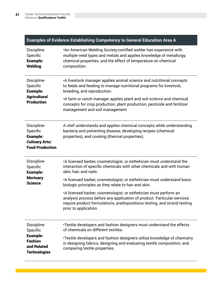| <b>Examples of Evidence Establishing Competency to General Education Area A</b>                    |                                                                                                                                                                                                                                                                                                                                                                                                                                                                                                                                                                   |
|----------------------------------------------------------------------------------------------------|-------------------------------------------------------------------------------------------------------------------------------------------------------------------------------------------------------------------------------------------------------------------------------------------------------------------------------------------------------------------------------------------------------------------------------------------------------------------------------------------------------------------------------------------------------------------|
| Discipline-<br>Specific<br><b>Example:</b><br>Welding                                              | . An American Welding Society-certified welder has experience with<br>multiple weld types and metals and applies knowledge of metallurgy,<br>chemical properties, and the effect of temperature on chemical<br>composition.                                                                                                                                                                                                                                                                                                                                       |
| Discipline-<br>Specific<br><b>Example:</b><br><b>Agricultural</b><br><b>Production</b>             | •A livestock manager applies animal science and nutritional concepts<br>to feeds and feeding to manage nutritional programs for livestock,<br>breeding, and reproduction.<br>•A farm or ranch manager applies plant and soil science and chemical<br>concepts for crop production, plant production, pesticide and fertilizer<br>management and soil management.                                                                                                                                                                                                  |
| Discipline-<br>Specific<br><b>Example:</b><br><b>Culinary Arts/</b><br><b>Food Production</b>      | A chef understands and applies chemical concepts while understanding<br>bacteria and preventing disease, developing recipes (chemical<br>properties), and cooking (thermal properties).                                                                                                                                                                                                                                                                                                                                                                           |
| Discipline-<br>Specific<br><b>Example:</b><br><b>Mortuary</b><br><b>Science</b>                    | •A licensed barber, cosmetologist, or esthetician must understand the<br>interaction of specific chemicals with other chemicals and with human<br>skin, hair, and nails.<br>•A licensed barber, cosmetologist, or esthetician must understand basic<br>biologic principles as they relate to hair and skin.<br>•A licensed barber, cosmetologist, or esthetician must perform an<br>analysis process before any application of product. Particular services<br>require product formulations, predispositions testing, and strand testing<br>prior to application. |
| Discipline-<br>Specific<br><b>Example:</b><br><b>Fashion</b><br>and Related<br><b>Technologies</b> | •Textile developers and fashion designers must understand the effects<br>of chemicals on different textiles.<br>•Textile developers and fashion designers utilize knowledge of chemistry<br>in designing fabrics, designing and evaluating textile composition, and<br>comparing textile properties.                                                                                                                                                                                                                                                              |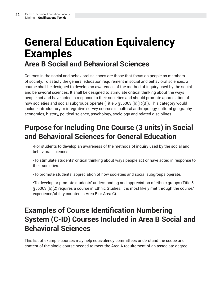## **General Education Equivalency Examples Area B Social and Behavioral Sciences**

Courses in the social and behavioral sciences are those that focus on people as members of society. To satisfy the general education requirement in social and behavioral sciences, a course shall be designed to develop an awareness of the method of inquiry used by the social and behavioral sciences. It shall be designed to stimulate critical thinking about the ways people act and have acted in response to their societies and should promote appreciation of how societies and social subgroups operate (Title 5 §55063 (b)(1)(B)). This category would include introductory or integrative survey courses in cultural anthropology, cultural geography, economics, history, political science, psychology, sociology and related disciplines.

#### **Purpose for Including One Course (3 units) in Social and Behavioral Sciences for General Education**

•For students to develop an awareness of the methods of inquiry used by the social and behavioral sciences.

•To stimulate students' critical thinking about ways people act or have acted in response to their societies.

•To promote students' appreciation of how societies and social subgroups operate.

•To develop or promote students' understanding and appreciation of ethnic groups (Title 5 §55063 (b)(2) requires a course in Ethnic Studies. It is most likely met through the course/ experience/ability counted in Area B or Area C).

#### **Examples of Course Identification Numbering System (C-ID) Courses Included in Area B Social and Behavioral Sciences**

This list of example courses may help equivalency committees understand the scope and content of the single course needed to meet the Area A requirement of an associate degree.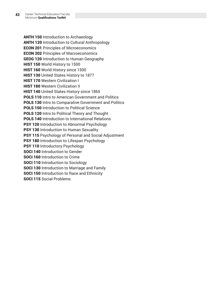ANTH 150 Introduction to Archaeology ANTH 120 Introduction to Cultural Anthropology ECON 201 Principles of Microeconomics ECON 202 Principles of Macroeconomics GEOG 120 Introduction to Human Geography HIST 150 World History to 1500 **HIST 160 World History since 1500 HIST 130** United States History to 1877 **HIST 170 Western Civilization I HIST 180 Western Civilization II HIST 140** United States History since 1865 **POLS 110 Intro to American Government and Politics** POLS 130 Intro to Comparative Government and Politics **POLS 150 Introduction to Political Science** POLS 120 Intro to Political Theory and Thought POLS 140 Introduction to International Relations **PSY 120 Introduction to Abnormal Psychology PSY 130 Introduction to Human Sexuality PSY 115 Psychology of Personal and Social Adjustment PSY 180** Introduction to Lifespan Psychology PSY 110 Introductory Psychology SOCI 140 Introduction to Gender SOCI 160 Introduction to Crime **SOCI 110 Introduction to Sociology** SOCI 130 Introduction to Marriage and Family SOCI 150 Introduction to Race and Ethnicity SOCI 115 Social Problems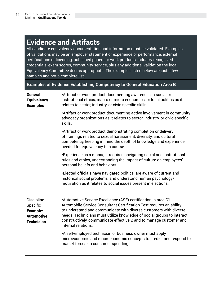#### **Evidence and Artifacts**

All candidate equivalency documentation and information must be validated. Examples of validations may be an employer statement of experience or performance, external certifications or licensing, published papers or work products, industry-recognized credentials, exam scores, community service, plus any additional validation the local Equivalency Committee deems appropriate. The examples listed below are just a few samples and not a complete list.

**Examples of Evidence Establishing Competency to General Education Area B**

| <b>General</b><br><b>Equivalency</b><br><b>Examples</b>                              | *Artifact or work product documenting awareness in social or<br>institutional ethics, macro or micro economics, or local politics as it<br>relates to sector, industry, or civic-specific skills.                                                                                                                                                                                  |
|--------------------------------------------------------------------------------------|------------------------------------------------------------------------------------------------------------------------------------------------------------------------------------------------------------------------------------------------------------------------------------------------------------------------------------------------------------------------------------|
|                                                                                      | • Artifact or work product documenting active involvement in community<br>advocacy organizations as it relates to sector, industry, or civic-specific<br>skills.                                                                                                                                                                                                                   |
|                                                                                      | • Artifact or work product demonstrating completion or delivery<br>of trainings related to sexual harassment, diversity, and cultural<br>competency, keeping in mind the depth of knowledge and experience<br>needed for equivalency to a course.                                                                                                                                  |
|                                                                                      | •Experience as a manager requires navigating social and institutional<br>rules and ethics, understanding the impact of culture on employees'<br>personal beliefs and behaviors.                                                                                                                                                                                                    |
|                                                                                      | •Elected officials have navigated politics, are aware of current and<br>historical social problems, and understand human psychology/<br>motivation as it relates to social issues present in elections.                                                                                                                                                                            |
| Discipline-<br>Specific<br><b>Example:</b><br><b>Automotive</b><br><b>Technician</b> | *Automotive Service Excellence (ASE) certification in area C1<br>Automobile Service Consultant Certification Test requires an ability<br>to understand and communicate with diverse customers with diverse<br>needs. Technicians must utilize knowledge of social groups to interact<br>constructively, communicate effectively, and to manage customer and<br>internal relations. |
|                                                                                      | • A self-employed technician or business owner must apply<br>microeconomic and macroeconomic concepts to predict and respond to<br>market forces on consumer spending.                                                                                                                                                                                                             |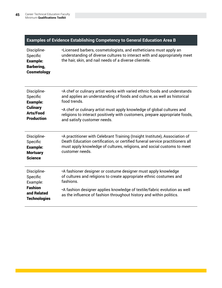| <b>Examples of Evidence Establishing Competency to General Education Area B</b>       |                                                                                                                                                                                                                                                            |
|---------------------------------------------------------------------------------------|------------------------------------------------------------------------------------------------------------------------------------------------------------------------------------------------------------------------------------------------------------|
| Discipline-<br>Specific<br><b>Example:</b><br><b>Barbering,</b><br><b>Cosmetology</b> | •Licensed barbers, cosmetologists, and estheticians must apply an<br>understanding of diverse cultures to interact with and appropriately meet<br>the hair, skin, and nail needs of a diverse clientele.                                                   |
| Discipline-<br>Specific<br><b>Example:</b>                                            | •A chef or culinary artist works with varied ethnic foods and understands<br>and applies an understanding of foods and culture, as well as historical<br>food trends.                                                                                      |
| <b>Culinary</b><br><b>Arts/Food</b><br><b>Production</b>                              | •A chef or culinary artist must apply knowledge of global cultures and<br>religions to interact positively with customers, prepare appropriate foods,<br>and satisfy customer needs.                                                                       |
| Discipline-<br>Specific<br><b>Example:</b><br><b>Mortuary</b><br><b>Science</b>       | •A practitioner with Celebrant Training (Insight Institute), Association of<br>Death Education certification, or certified funeral service practitioners all<br>must apply knowledge of cultures, religions, and social customs to meet<br>customer needs. |
| Discipline-<br>Specific<br>Example:                                                   | •A fashioner designer or costume designer must apply knowledge<br>of cultures and religions to create appropriate ethnic costumes and<br>fashions.                                                                                                         |
| <b>Fashion</b><br>and Related<br><b>Technologies</b>                                  | •A fashion designer applies knowledge of textile/fabric evolution as well<br>as the influence of fashion throughout history and within politics.                                                                                                           |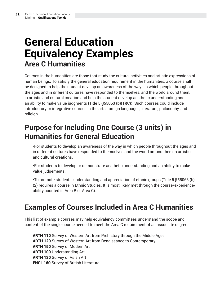## **General Education Equivalency Examples Area C Humanities**

Courses in the humanities are those that study the cultural activities and artistic expressions of human beings. To satisfy the general education requirement in the humanities, a course shall be designed to help the student develop an awareness of the ways in which people throughout the ages and in different cultures have responded to themselves, and the world around them, in artistic and cultural creation and help the student develop aesthetic understanding and an ability to make value judgments (Title 5 §55063 (b)(1)(C)). Such courses could include introductory or integrative courses in the arts, foreign languages, literature, philosophy, and religion.

#### **Purpose for Including One Course (3 units) in Humanities for General Education**

•For students to develop an awareness of the way in which people throughout the ages and in different cultures have responded to themselves and the world around them in artistic and cultural creations.

•For students to develop or demonstrate aesthetic understanding and an ability to make value judgements.

•To promote students' understanding and appreciation of ethnic groups (Title 5 §55063 (b) (2) requires a course in Ethnic Studies. It is most likely met through the course/experience/ ability counted in Area B or Area C).

#### **Examples of Courses Included in Area C Humanities**

This list of example courses may help equivalency committees understand the scope and content of the single course needed to meet the Area C requirement of an associate degree.

**ARTH 110** Survey of Western Art from Prehistory through the Middle Ages **ARTH 120** Survey of Western Art from Renaissance to Contemporary ARTH 150 Survey of Modern Art ARTH 100 Understanding Art ARTH 130 Survey of Asian Art ENGL 160 Survey of British Literature I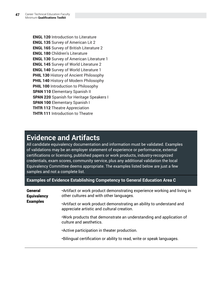ENGL 120 Introduction to Literature ENGL 135 Survey of American Lit 2 ENGL 165 Survey of British Literature 2 ENGL 180 Children's Literature ENGL 130 Survey of American Literature 1 ENGL 145 Survey of World Literature 2 ENGL 140 Survey of World Literature 1 **PHIL 130 History of Ancient Philosophy** PHIL 140 History of Modern Philosophy PHIL 100 Introduction to Philosophy SPAN 110 Elementary Spanish II SPAN 220 Spanish for Heritage Speakers I SPAN 100 Elementary Spanish I **THTR 112 Theatre Appreciation THTR 111 Introduction to Theatre** 

#### **Evidence and Artifacts**

All candidate equivalency documentation and information must be validated. Examples of validations may be an employer statement of experience or performance, external certifications or licensing, published papers or work products, industry-recognized credentials, exam scores, community service, plus any additional validation the local Equivalency Committee deems appropriate. The examples listed below are just a few samples and not a complete list.

**Examples of Evidence Establishing Competency to General Education Area C**

| <b>General</b><br><b>Equivalency</b> | • Artifact or work product demonstrating experience working and living in<br>other cultures and with other languages. |
|--------------------------------------|-----------------------------------------------------------------------------------------------------------------------|
| <b>Examples</b>                      | • Artifact or work product demonstrating an ability to understand and<br>appreciate artistic and cultural creation.   |
|                                      | . Work products that demonstrate an understanding and application of<br>culture and aesthetics.                       |
|                                      | . Active participation in theater production.                                                                         |
|                                      | . Bilingual certification or ability to read, write or speak languages.                                               |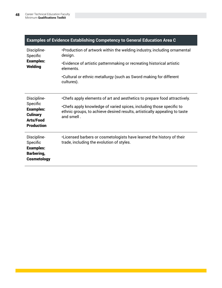| Examples of Evidence Establishing Competency to General Education Area C                                |                                                                                                                                                                                                                                               |
|---------------------------------------------------------------------------------------------------------|-----------------------------------------------------------------------------------------------------------------------------------------------------------------------------------------------------------------------------------------------|
| Discipline-<br>Specific                                                                                 | •Production of artwork within the welding industry, including ornamental<br>design.                                                                                                                                                           |
| <b>Examples:</b><br><b>Welding</b>                                                                      | •Evidence of artistic patternmaking or recreating historical artistic<br>elements.                                                                                                                                                            |
|                                                                                                         | •Cultural or ethnic metallurgy (such as Sword making for different<br>cultures).                                                                                                                                                              |
| Discipline-<br>Specific<br><b>Examples:</b><br><b>Culinary</b><br><b>Arts/Food</b><br><b>Production</b> | •Chefs apply elements of art and aesthetics to prepare food attractively.<br>•Chefs apply knowledge of varied spices, including those specific to<br>ethnic groups, to achieve desired results, artistically appealing to taste<br>and smell. |
| Discipline-<br>Specific<br><b>Examples:</b><br><b>Barbering,</b><br><b>Cosmetology</b>                  | •Licensed barbers or cosmetologists have learned the history of their<br>trade, including the evolution of styles.                                                                                                                            |

#### **Examples of Evidence Establishing Competency to General Education Area C**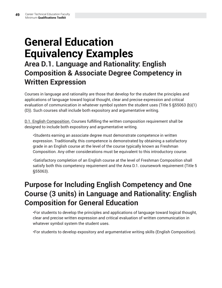### **General Education Equivalency Examples Area D.1. Language and Rationality: English Composition & Associate Degree Competency in Written Expression**

Courses in language and rationality are those that develop for the student the principles and applications of language toward logical thought, clear and precise expression and critical evaluation of communication in whatever symbol system the student uses (Title 5 §55063 (b)(1) (D)). Such courses shall include both expository and argumentative writing.

D.1. English Composition. Courses fulfilling the written composition requirement shall be designed to include both expository and argumentative writing.

•Students earning an associate degree must demonstrate competence in written expression. Traditionally, this competence is demonstrated by obtaining a satisfactory grade in an English course at the level of the course typically known as Freshman Composition. Any other considerations must be equivalent to this introductory course.

•Satisfactory completion of an English course at the level of Freshman Composition shall satisfy both this competency requirement and the Area D.1. coursework requirement (Title 5 §55063).

#### **Purpose for Including English Competency and One Course (3 units) in Language and Rationality: English Composition for General Education**

•For students to develop the principles and applications of language toward logical thought, clear and precise written expression and critical evaluation of written communication in whatever symbol system the student uses.

•For students to develop expository and argumentative writing skills (English Composition).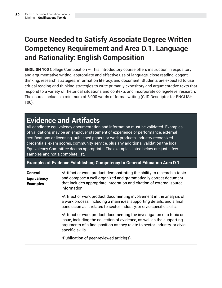#### **Course Needed to Satisfy Associate Degree Written Competency Requirement and Area D.1. Language and Rationality: English Composition**

**ENGLISH 100** College Composition  $-$  This introductory course offers instruction in expository and argumentative writing, appropriate and effective use of language, close reading, cogent thinking, research strategies, information literacy, and document. Students are expected to use critical reading and thinking strategies to write primarily expository and argumentative texts that respond to a variety of rhetorical situations and contexts and incorporate college-level research. The course includes a minimum of 6,000 words of formal writing (C-ID Descriptor for ENGLISH 100).

#### **Evidence and Artifacts**

All candidate equivalency documentation and information must be validated. Examples of validations may be an employer statement of experience or performance, external certifications or licensing, published papers or work products, industry-recognized credentials, exam scores, community service, plus any additional validation the local Equivalency Committee deems appropriate. The examples listed below are just a few samples and not a complete list.

**Examples of Evidence Establishing Competency to General Education Area D.1.**

| General<br><b>Equivalency</b><br><b>Examples</b> | . Artifact or work product demonstrating the ability to research a topic<br>and compose a well-organized and grammatically correct document<br>that includes appropriate integration and citation of external source<br>information.                |
|--------------------------------------------------|-----------------------------------------------------------------------------------------------------------------------------------------------------------------------------------------------------------------------------------------------------|
|                                                  | • Artifact or work product documenting involvement in the analysis of<br>a work process, including a main idea, supporting details, and a final<br>conclusion as it relates to sector, industry, or civic-specific skills.                          |
|                                                  | • Artifact or work product documenting the investigation of a topic or<br>issue, including the collection of evidence, as well as the supporting<br>arguments of a final position as they relate to sector, industry, or civic-<br>specific skills. |
|                                                  | •Publication of peer-reviewed article(s).                                                                                                                                                                                                           |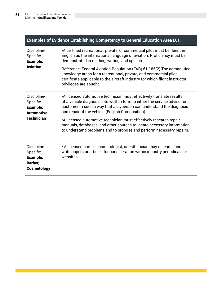| Examples of Evidence Establishing Competency to General Education Area D.1. |                                                                                                                                                                                                                                                                               |
|-----------------------------------------------------------------------------|-------------------------------------------------------------------------------------------------------------------------------------------------------------------------------------------------------------------------------------------------------------------------------|
| Discipline-<br>Specific<br><b>Example:</b>                                  | • A certified recreational, private, or commercial pilot must be fluent in<br>English as the international language of aviation. Proficiency must be<br>demonstrated in reading, writing, and speech.                                                                         |
| <b>Aviation</b>                                                             | Reference: Federal Aviation Regulation (FAR) 61.185(2) The aeronautical<br>knowledge areas for a recreational, private, and commercial pilot<br>certificate applicable to the aircraft industry for which flight instructor<br>privileges are sought.                         |
| Discipline-<br>Specific<br><b>Example:</b><br><b>Automotive</b>             | •A licensed automotive technician must effectively translate results<br>of a vehicle diagnosis into written form to either the service advisor or<br>customer in such a way that a layperson can understand the diagnosis<br>and repair of the vehicle (English Composition). |
| <b>Technician</b>                                                           | •A licensed automotive technician must effectively research repair<br>manuals, databases, and other sources to locate necessary information<br>to understand problems and to propose and perform necessary repairs.                                                           |
| Discipline-<br>Specific<br><b>Example:</b><br>Barber,<br><b>Cosmetology</b> | • A licensed barber, cosmetologist, or esthetician may research and<br>write papers or articles for consideration within industry periodicals or<br>websites.                                                                                                                 |

#### **Examples of Evidence Establishing Competency to General Education Area D.1.**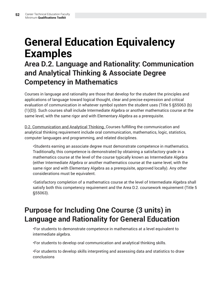# **General Education Equivalency Examples**

#### **Area D.2. Language and Rationality: Communication and Analytical Thinking & Associate Degree Competency in Mathematics**

Courses in language and rationality are those that develop for the student the principles and applications of language toward logical thought, clear and precise expression and critical evaluation of communication in whatever symbol system the student uses (Title 5 §55063 (b) (1)(D)). Such courses shall include Intermediate Algebra or another mathematics course at the same level, with the same rigor and with Elementary Algebra as a prerequisite.

D.2. Communication and Analytical Thinking. Courses fulfilling the communication and analytical thinking requirement include oral communication, mathematics, logic, statistics, computer languages and programming, and related disciplines.

•Students earning an associate degree must demonstrate competence in mathematics. Traditionally, this competence is demonstrated by obtaining a satisfactory grade in a mathematics course at the level of the course typically known as Intermediate Algebra (either Intermediate Algebra or another mathematics course at the same level, with the same rigor and with Elementary Algebra as a prerequisite, approved locally). Any other considerations must be equivalent.

•Satisfactory completion of a mathematics course at the level of Intermediate Algebra shall satisfy both this competency requirement and the Area D.2. coursework requirement (Title 5 §55063).

#### **Purpose for Including One Course (3 units) in Language and Rationality for General Education**

•For students to demonstrate competence in mathematics at a level equivalent to intermediate algebra.

•For students to develop oral communication and analytical thinking skills.

•For students to develop skills interpreting and assessing data and statistics to draw conclusions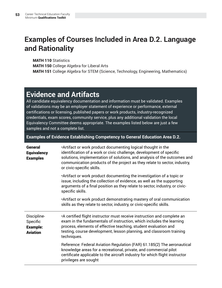#### **Examples of Courses Included in Area D.2. Language and Rationality**

MATH 110 Statistics MATH 150 College Algebra for Liberal Arts MATH 151 College Algebra for STEM (Science, Technology, Engineering, Mathematics)

#### **Evidence and Artifacts**

All candidate equivalency documentation and information must be validated. Examples of validations may be an employer statement of experience or performance, external certifications or licensing, published papers or work products, industry-recognized credentials, exam scores, community service, plus any additional validation the local Equivalency Committee deems appropriate. The examples listed below are just a few samples and not a complete list.

**Examples of Evidence Establishing Competency to General Education Area D.2.**

| General<br><b>Equivalency</b><br><b>Examples</b>              | . Artifact or work product documenting logical thought in the<br>identification of a work or civic challenge, development of specific<br>solutions, implementation of solutions, and analysis of the outcomes and<br>communication products of the project as they relate to sector, industry,<br>or civic-specific skills. |
|---------------------------------------------------------------|-----------------------------------------------------------------------------------------------------------------------------------------------------------------------------------------------------------------------------------------------------------------------------------------------------------------------------|
|                                                               | • Artifact or work product documenting the investigation of a topic or<br>issue, including the collection of evidence, as well as the supporting<br>arguments of a final position as they relate to sector, industry, or civic-<br>specific skills.                                                                         |
|                                                               | • Artifact or work product demonstrating mastery of oral communication<br>skills as they relate to sector, industry, or civic-specific skills.                                                                                                                                                                              |
| Discipline-<br>Specific<br><b>Example:</b><br><b>Aviation</b> | •A certified flight instructor must receive instruction and complete an<br>exam in the fundamentals of instruction, which includes the learning<br>process, elements of effective teaching, student evaluation and<br>testing, course development, lesson planning, and classroom training<br>techniques.                   |
|                                                               | Reference: Federal Aviation Regulation (FAR) 61.185(2) The aeronautical<br>knowledge areas for a recreational, private, and commercial pilot<br>certificate applicable to the aircraft industry for which flight instructor<br>privileges are sought                                                                        |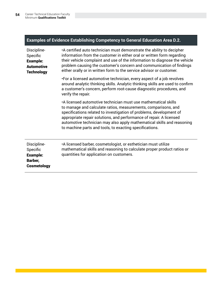|                                                                                      | Examples of Evidence Establishing Competency to General Education Area D.2.                                                                                                                                                                                                                                                                                                                                         |
|--------------------------------------------------------------------------------------|---------------------------------------------------------------------------------------------------------------------------------------------------------------------------------------------------------------------------------------------------------------------------------------------------------------------------------------------------------------------------------------------------------------------|
| Discipline-<br>Specific<br><b>Example:</b><br><b>Automotive</b><br><b>Technology</b> | •A certified auto technician must demonstrate the ability to decipher<br>information from the customer in either oral or written form regarding<br>their vehicle complaint and use of the information to diagnose the vehicle<br>problem causing the customer's concern and communication of findings<br>either orally or in written form to the service advisor or customer.                                       |
|                                                                                      | •For a licensed automotive technician, every aspect of a job revolves<br>around analytic thinking skills. Analytic thinking skills are used to confirm<br>a customer's concern, perform root-cause diagnostic procedures, and<br>verify the repair.                                                                                                                                                                 |
|                                                                                      | •A licensed automotive technician must use mathematical skills<br>to manage and calculate ratios, measurements, comparisons, and<br>specifications related to investigation of problems, development of<br>appropriate repair solutions, and performance of repair. A licensed<br>automotive technician may also apply mathematical skills and reasoning<br>to machine parts and tools, to exacting specifications. |
| Discipline-<br>Specific<br><b>Example:</b><br>Barber,<br><b>Cosmetology</b>          | •A licensed barber, cosmetologist, or esthetician must utilize<br>mathematical skills and reasoning to calculate proper product ratios or<br>quantities for application on customers.                                                                                                                                                                                                                               |
|                                                                                      |                                                                                                                                                                                                                                                                                                                                                                                                                     |

#### **Examples of Evidence Establishing Competency to General Education Area D.2.**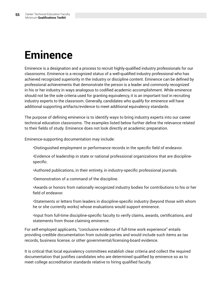# **Eminence**

Eminence is a designation and a process to recruit highly-qualified industry professionals for our classrooms. Eminence is a recognized status of a well-qualified industry professional who has achieved recognized superiority in the industry or discipline content. Eminence can be defined by professional achievements that demonstrate the person is a leader and commonly recognized in his or her industry in ways analogous to codified academic accomplishment. While eminence should not be the sole criteria used for granting equivalency, it is an important tool in recruiting industry experts to the classroom. Generally, candidates who qualify for eminence will have additional supporting artifacts/evidence to meet additional equivalency standards.

The purpose of defining eminence is to identify ways to bring industry experts into our career technical education classrooms. The examples listed below further define the relevance related to their fields of study. Eminence does not look directly at academic preparation.

Eminence-supporting documentation may include:

•Distinguished employment or performance records in the specific field of endeavor.

•Evidence of leadership in state or national professional organizations that are disciplinespecific.

•Authored publications, in their entirety, in industry-specific professional journals.

•Demonstration of a command of the discipline.

•Awards or honors from nationally recognized industry bodies for contributions to his or her field of endeavor.

•Statements or letters from leaders in discipline-specific industry (beyond those with whom he or she currently works) whose evaluations would support eminence.

•Input from full-time discipline-specific faculty to verify claims, awards, certifications, and statements from those claiming eminence.

For self-employed applicants, "conclusive evidence of full-time work experience" entails providing credible documentation from outside parties and would include such items as tax records, business license, or other governmental/licensing-board evidence.

It is critical that local equivalency committees establish clear criteria and collect the required documentation that justifies candidates who are determined qualified by eminence so as to meet college accreditation standards relative to hiring qualified faculty.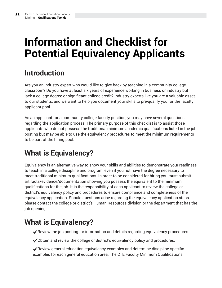# **Information and Checklist for Potential Equivalency Applicants**

### **Introduction**

Are you an industry expert who would like to give back by teaching in a community college classroom? Do you have at least six years of experience working in business or industry but lack a college degree or significant college credit? Industry experts like you are a valuable asset to our students, and we want to help you document your skills to pre-qualify you for the faculty applicant pool.

As an applicant for a community college faculty position, you may have several questions regarding the application process. The primary purpose of this checklist is to assist those applicants who do not possess the traditional minimum academic qualifications listed in the job posting but may be able to use the equivalency procedures to meet the minimum requirements to be part of the hiring pool.

### **What is Equivalency?**

Equivalency is an alternative way to show your skills and abilities to demonstrate your readiness to teach in a college discipline and program, even if you not have the degree necessary to meet traditional minimum qualifications. In order to be considered for hiring you must submit artifacts/evidence/documentation showing you possess the equivalent to the minimum qualifications for the job. It is the responsibility of each applicant to review the college or district's equivalency policy and procedures to ensure compliance and completeness of the equivalency application. Should questions arise regarding the equivalency application steps, please contact the college or district's Human Resources division or the department that has the job opening.

### **What is Equivalency?**

 $\blacktriangledown$  Review the job posting for information and details regarding equivalency procedures.

 $\blacktriangledown$  Obtain and review the college or district's equivalency policy and procedures.

 $\blacktriangledown$  Review general education equivalency examples and determine discipline-specific examples for each general education area. The CTE Faculty Minimum Qualifications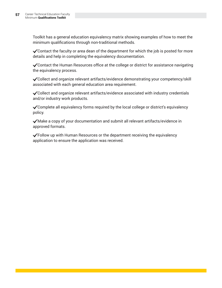Toolkit has a general education equivalency matrix showing examples of how to meet the minimum qualifications through non-traditional methods.

 $\checkmark$  Contact the faculty or area dean of the department for which the job is posted for more details and help in completing the equivalency documentation.

 $\checkmark$  Contact the Human Resources office at the college or district for assistance navigating the equivalency process.

.Collect and organize relevant artifacts/evidence demonstrating your competency/skill associated with each general education area requirement.

 $\checkmark$  Collect and organize relevant artifacts/evidence associated with industry credentials and/or industry work products.

 $\checkmark$  Complete all equivalency forms required by the local college or district's equivalency policy.

 $\sqrt{\frac{M}}$  Make a copy of your documentation and submit all relevant artifacts/evidence in approved formats.

 $\blacktriangledown$  Follow up with Human Resources or the department receiving the equivalency application to ensure the application was received.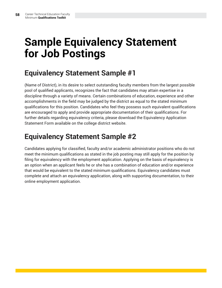# **Sample Equivalency Statement for Job Postings**

#### **Equivalency Statement Sample #1**

(Name of District), in its desire to select outstanding faculty members from the largest possible pool of qualified applicants, recognizes the fact that candidates may attain expertise in a discipline through a variety of means. Certain combinations of education, experience and other accomplishments in the field may be judged by the district as equal to the stated minimum qualifications for this position. Candidates who feel they possess such equivalent qualifications are encouraged to apply and provide appropriate documentation of their qualifications. For further details regarding equivalency criteria, please download the Equivalency Application Statement Form available on the college district website.

### **Equivalency Statement Sample #2**

Candidates applying for classified, faculty and/or academic administrator positions who do not meet the minimum qualifications as stated in the job posting may still apply for the position by filing for equivalency with the employment application. Applying on the basis of equivalency is an option when an applicant feels he or she has a combination of education and/or experience that would be equivalent to the stated minimum qualifications. Equivalency candidates must complete and attach an equivalency application, along with supporting documentation, to their online employment application.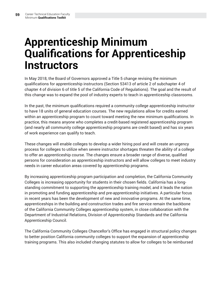## **Apprenticeship Minimum Qualifications for Apprenticeship Instructors**

In May 2018, the Board of Governors approved a Title 5 change revising the minimum qualifications for apprenticeship instructors (Section 53413 of article 2 of subchapter 4 of chapter 4 of division 6 of title 5 of the California Code of Regulations). The goal and the result of this change was to expand the pool of industry experts to teach in apprenticeship classrooms.

In the past, the minimum qualifications required a community college apprenticeship instructor to have 18 units of general education courses. The new regulations allow for credits earned within an apprenticeship program to count toward meeting the new minimum qualifications. In practice, this means anyone who completes a credit-based registered apprenticeship program (and nearly all community college apprenticeship programs are credit based) and has six years of work experience can qualify to teach.

These changes will enable colleges to develop a wider hiring pool and will create an urgency process for colleges to utilize when severe instructor shortages threaten the ability of a college to offer an apprenticeship course. The changes ensure a broader range of diverse, qualified persons for consideration as apprenticeship instructors and will allow colleges to meet industry needs in career education areas covered by apprenticeship programs.

By increasing apprenticeship program participation and completion, the California Community Colleges is increasing opportunity for students in their chosen fields. California has a longstanding commitment to supporting the apprenticeship training model, and it leads the nation in promoting and funding apprenticeship and pre-apprenticeship initiatives. A particular focus in recent years has been the development of new and innovative programs. At the same time, apprenticeships in the building and construction trades and fire service remain the backbone of the California Community Colleges apprenticeship system, in close collaboration with the Department of Industrial Relations, Division of Apprenticeship Standards and the California Apprenticeship Council.

The California Community Colleges Chancellor's Office has engaged in structural policy changes to better position California community colleges to support the expansion of apprenticeship training programs. This also included changing statutes to allow for colleges to be reimbursed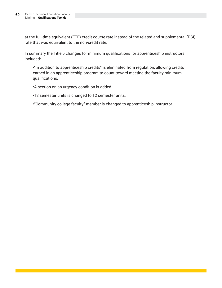at the full-time equivalent (FTE) credit course rate instead of the related and supplemental (RSI) rate that was equivalent to the non-credit rate.

In summary the Title 5 changes for minimum qualifications for apprenticeship instructors included:

•"In addition to apprenticeship credits" is eliminated from regulation, allowing credits earned in an apprenticeship program to count toward meeting the faculty minimum qualifications.

•A section on an urgency condition is added.

•18 semester units is changed to 12 semester units.

•"Community college faculty" member is changed to apprenticeship instructor.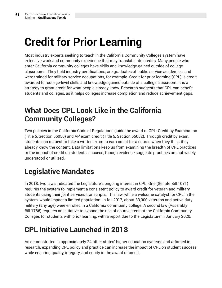# **Credit for Prior Learning**

Most industry experts seeking to teach in the California Community Colleges system have extensive work and community experience that may translate into credits. Many people who enter California community colleges have skills and knowledge gained outside of college classrooms. They hold industry certifications, are graduates of public service academies, and were trained for military service occupations, for example. Credit for prior learning (CPL) is credit awarded for college-level skills and knowledge gained outside of a college classroom. It is a strategy to grant credit for what people already know. Research suggests that CPL can benefit students and colleges, as it helps colleges increase completion and reduce achievement gaps.

#### **What Does CPL Look Like in the California Community Colleges?**

Two policies in the California Code of Regulations guide the award of CPL: Credit by Examination (Title 5, Section 55050) and AP exam credit (Title 5, Section 55052). Through credit by exam, students can request to take a written exam to earn credit for a course when they think they already know the content. Data limitations keep us from examining the breadth of CPL practices or the impact of credit on students' success, though evidence suggests practices are not widely understood or utilized.

### **Legislative Mandates**

In 2018, two laws indicated the Legislature's ongoing interest in CPL. One (Senate Bill 1071) requires the system to implement a consistent policy to award credit for veteran and military students using their joint services transcripts. This law, while a welcome catalyst for CPL in the system, would impact a limited population. In fall 2017, about 33,000 veterans and active-duty military (any age) were enrolled in a California community college. A second law (Assembly Bill 1786) requires an initiative to expand the use of course credit at the California Community Colleges for students with prior learning, with a report due to the Legislature in January 2020.

### **CPL Initiative Launched in 2018**

As demonstrated in approximately 24 other states' higher education systems and affirmed in research, expanding CPL policy and practice can increase the impact of CPL on student success while ensuring quality, integrity, and equity in the award of credit.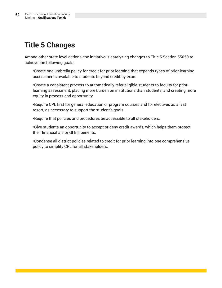### **Title 5 Changes**

Among other state-level actions, the initiative is catalyzing changes to Title 5 Section 55050 to achieve the following goals:

•Create one umbrella policy for credit for prior learning that expands types of prior-learning assessments available to students beyond credit by exam.

•Create a consistent process to automatically refer eligible students to faculty for priorlearning assessment, placing more burden on institutions than students, and creating more equity in process and opportunity.

•Require CPL first for general education or program courses and for electives as a last resort, as necessary to support the student's goals.

•Require that policies and procedures be accessible to all stakeholders.

•Give students an opportunity to accept or deny credit awards, which helps them protect their financial aid or GI Bill benefits.

•Condense all district policies related to credit for prior learning into one comprehensive policy to simplify CPL for all stakeholders.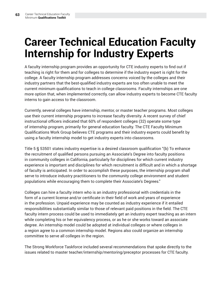# **Career Technical Education Faculty Internship for Industry Experts**

A faculty internship program provides an opportunity for CTE industry experts to find out if teaching is right for them and for colleges to determine if the industry expert is right for the college. A faculty internship program addresses concerns voiced by the colleges and their industry partners that the best-qualified industry experts are too often unable to meet the current minimum qualifications to teach in college classrooms. Faculty internships are one more option that, when implemented correctly, can allow industry experts to become CTE faculty interns to gain access to the classroom.

Currently, several colleges have internship, mentor, or master teacher programs. Most colleges use their current internship programs to increase faculty diversity. A recent survey of chief instructional officers indicated that 60% of respondent colleges (32) operate some type of internship program, primarily for general education faculty. The CTE Faculty Minimum Qualifications Work Group believes CTE programs and their industry experts could benefit by using a faculty internship model to get industry experts into classrooms.

Title 5 § 53501 states industry expertise is a desired classroom qualification "(b) To enhance the recruitment of qualified persons pursuing an Associate's Degree into faculty positions in community colleges in California, particularly for disciplines for which current industry experience is important and disciplines for which recruitment is difficult and in which a shortage of faculty is anticipated. In order to accomplish these purposes, the internship program shall serve to introduce industry practitioners to the community college environment and student populations while encouraging them to complete their Associate's Degrees."

Colleges can hire a faculty intern who is an industry professional with credentials in the form of a current license and/or certificate in their field of work and years of experience in the profession. Unpaid experience may be counted as industry experience if it entailed responsibilities substantially similar to those of relevant paid positions in the field. The CTE faculty intern process could be used to immediately get an industry expert teaching as an intern while completing his or her equivalency process, or as he or she works toward an associate degree. An internship model could be adopted at individual colleges or where colleges in a region agree to a common internship model. Regions also could organize an internship committee to serve all colleges in the region.

The Strong Workforce Taskforce included several recommendations that spoke directly to the issues related to master teacher/internship/mentoring/preceptor processes for CTE faculty.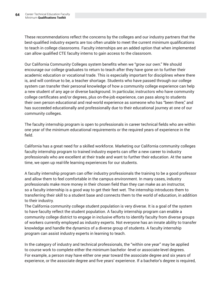These recommendations reflect the concerns by the colleges and our industry partners that the best-qualified industry experts are too often unable to meet the current minimum qualifications to teach in college classrooms. Faculty internships are an added option that when implemented can allow qualified CTE faculty interns to gain access to the classroom.

Our California Community Colleges system benefits when we "grow our own." We should encourage our college graduates to return to teach after they have gone on to further their academic education or vocational trade. This is especially important for disciplines where there is, and will continue to be, a teacher shortage. Students who have passed through our college system can transfer their personal knowledge of how a community college experience can help a new student of any age or diverse background. In particular, instructors who have community college certificates and/or degrees, plus on-the-job experience, can pass along to students their own person educational and real-world experience as someone who has "been there," and has succeeded educationally and professionally due to their educational journey at one of our community colleges.

The faculty internship program is open to professionals in career technical fields who are within one year of the minimum educational requirements or the required years of experience in the field.

California has a great need for a skilled workforce. Marketing our California community colleges faculty internship program to trained industry experts can offer a new career to industry professionals who are excellent at their trade and want to further their education. At the same time, we open up real-life learning experiences for our students.

A faculty internship program can offer industry professionals the training to be a good professor and allow them to feel comfortable in the campus environment. In many cases, industry professionals make more money in their chosen field than they can make as an instructor, so a faculty internship is a good way to get their feet wet. The internship introduces them to transferring their skill to a student base and connects them to the world of education, in addition to their industry.

The California community college student population is very diverse. It is a goal of the system to have faculty reflect the student population. A faculty internship program can enable a community college district to engage in inclusive efforts to identify faculty from diverse groups of workers currently employed as industry experts. Not everyone has an innate ability to transfer knowledge and handle the dynamics of a diverse group of students. A faculty internship program can assist industry experts in learning to teach.

In the category of industry and technical professionals, the "within one year" may be applied to course work to complete either the minimum bachelor -level or associate-level degrees. For example, a person may have either one year toward the associate degree and six years of experience, or the associate degree and five years' experience. If a bachelor's degree is required,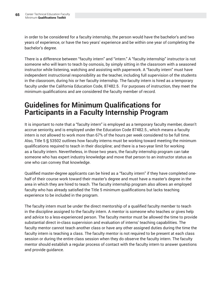in order to be considered for a faculty internship, the person would have the bachelor's and two years of experience, or have the two years' experience and be within one year of completing the bachelor's degree.

There is a difference between "faculty intern" and "intern." A "faculty internship" instructor is not someone who will learn to teach by osmosis, by simply sitting in the classroom with a seasoned instructor while listening, watching and assisting with paperwork. A "faculty intern" must have independent instructional responsibility as the teacher, including full supervision of the students in the classroom, during his or her faculty internship. The faculty intern is hired as a temporary faculty under the California Education Code, 87482.5. For purposes of instruction, they meet the minimum qualifications and are considered the faculty member of record.

#### **Guidelines for Minimum Qualifications for Participants in a Faculty Internship Program**

It is important to note that a "faculty intern" is employed as a temporary faculty member, doesn't accrue seniority, and is employed under the Education Code 87482.5., which means a faculty intern is not allowed to work more than 67% of the hours per week considered to be full time. Also, Title 5 § 53502 outlines how faculty interns must be working toward meeting the minimum qualifications required to teach in their discipline; and there is a two-year limit for working as a faculty intern. Nevertheless, in those two years, the faculty internship program can take someone who has expert industry knowledge and move that person to an instructor status as one who can convey that knowledge.

Qualified master-degree applicants can be hired as a "faculty intern" if they have completed onehalf of their course work toward their master's degree and must have a master's degree in the area in which they are hired to teach. The faculty internship program also allows an employed faculty who has already satisfied the Title 5 minimum qualifications but lacks teaching experience to be included in the program.

The faculty intern must be under the direct mentorship of a qualified faculty member to teach in the discipline assigned to the faculty intern. A mentor is someone who teaches or gives help and advice to a less-experienced person. The faculty mentor must be allowed the time to provide substantial direct in-class supervision and evaluation of interns' teaching capabilities. The faculty mentor cannot teach another class or have any other assigned duties during the time the faculty intern is teaching a class. The faculty mentor is not required to be present at each class session or during the entire class session when they do observe the faculty intern. The faculty mentor should establish a regular process of contact with the faculty intern to answer questions and provide guidance.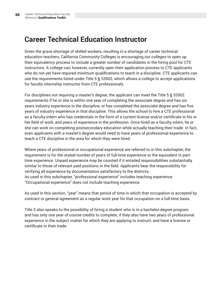#### **Career Technical Education Instructor**

Given the grave shortage of skilled workers, resulting in a shortage of career technical education teachers, California Community Colleges is encouraging our colleges to open up their equivalency process to include a greater number of candidates in the hiring pool for CTE instructors. A college can, however, currently open their application process to CTE applicants who do not yet have required minimum qualifications to teach in a discipline. CTE applicants can use the requirements listed under Title 5 § 53502, which allows a college to accept applications for faculty internship instructor from CTE professionals.

For disciplines not requiring a master's degree, the applicant can meet the Title 5 § 53502 requirements if he or she is within one year of completing the associate degree and has six years industry experience in the discipline, or has completed the associate degree and has five years of industry experience in that discipline. This allows the school to hire a CTE professional as a faculty intern who has credentials in the form of a current license and/or certificate in his or her field of work, and years of experience in the profession. Once hired as a faculty intern, he or she can work on completing postsecondary education while actually teaching their trade. In fact, even applicants with a master's degree would need to have years of professional experience to teach a CTE discipline in the area for which they were hired.

Where years of professional or occupational experience are referred to in this subchapter, the requirement is for the stated number of years of full-time experience or the equivalent in parttime experience. Unpaid experience may be counted if it entailed responsibilities substantially similar to those of relevant paid positions in the field. Applicants bear the responsibility for verifying all experience by documentation satisfactory to the districts. As used in this subchapter, "professional experience" includes teaching experience. "Occupational experience" does not include teaching experience.

As used in this section, "year" means that period of time in which that occupation is accepted by contract or general agreement as a regular work year for that occupation on a full-time basis.

Title 5 also speaks to the possibility of hiring a student who is in a bachelor-degree program and has only one year of course credits to complete, if they also have two years of professional experience in the subject matter for which they are applying to instruct, and have a license or certificate in their trade.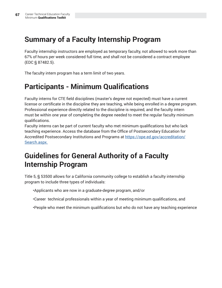#### **Summary of a Faculty Internship Program**

Faculty internship instructors are employed as temporary faculty, not allowed to work more than 67% of hours per week considered full time, and shall not be considered a contract employee (EDC § 87482.5).

The faculty intern program has a term limit of two years.

### **Participants - Minimum Qualifications**

Faculty interns for CTE field disciplines (master's degree not expected) must have a current license or certificate in the discipline they are teaching, while being enrolled in a degree program. Professional experience directly related to the discipline is required, and the faculty intern must be within one year of completing the degree needed to meet the regular faculty minimum qualifications.

Faculty interns can be part of current faculty who met minimum qualifications but who lack teaching experience. Access the database from the Office of Postsecondary Education for Accredited Postsecondary Institutions and Programs at [https://ope.ed.gov/accreditation/](https://ope.ed.gov/accreditation/Search.aspx. ) [Search.aspx.](https://ope.ed.gov/accreditation/Search.aspx. )

#### **Guidelines for General Authority of a Faculty Internship Program**

Title 5, § 53500 allows for a California community college to establish a faculty internship program to include three types of individuals:

•Applicants who are now in a graduate-degree program, and/or

- •Career technical professionals within a year of meeting minimum qualifications, and
- •People who meet the minimum qualifications but who do not have any teaching experience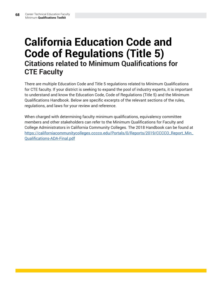### **California Education Code and Code of Regulations (Title 5) Citations related to Minimum Qualifications for CTE Faculty**

There are multiple Education Code and Title 5 regulations related to Minimum Qualifications for CTE faculty. If your district is seeking to expand the pool of industry experts, it is important to understand and know the Education Code, Code of Regulations (Title 5) and the Minimum Qualifications Handbook. Below are specific excerpts of the relevant sections of the rules, regulations, and laws for your review and reference.

When charged with determining faculty minimum qualifications, equivalency committee members and other stakeholders can refer to the Minimum Qualifications for Faculty and College Administrators in California Community Colleges. The 2018 Handbook can be found at [https://californiacommunitycolleges.cccco.edu/Portals/0/Reports/2019/CCCCO\\_Report\\_Min\\_](https://californiacommunitycolleges.cccco.edu/Portals/0/Reports/2019/CCCCO_Report_Min_Qualifications) [Qualifications-ADA-Final.pdf](https://californiacommunitycolleges.cccco.edu/Portals/0/Reports/2019/CCCCO_Report_Min_Qualifications)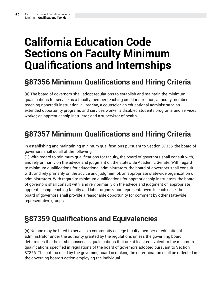# **California Education Code Sections on Faculty Minimum Qualifications and Internships**

### **§87356 Minimum Qualifications and Hiring Criteria**

(a) The board of governors shall adopt regulations to establish and maintain the minimum qualifications for service as a faculty member teaching credit instruction, a faculty member teaching noncredit instruction, a librarian, a counselor, an educational administrator, an extended opportunity programs and services worker, a disabled students programs and services worker, an apprenticeship instructor, and a supervisor of health.

### **§87357 Minimum Qualifications and Hiring Criteria**

In establishing and maintaining minimum qualifications pursuant to Section 87356, the board of governors shall do all of the following:

(1) With regard to minimum qualifications for faculty, the board of governors shall consult with, and rely primarily on the advice and judgment of, the statewide Academic Senate. With regard to minimum qualifications for educational administrators, the board of governors shall consult with, and rely primarily on the advice and judgment of, an appropriate statewide organization of administrators. With regard to minimum qualifications for apprenticeship instructors, the board of governors shall consult with, and rely primarily on the advice and judgment of, appropriate apprenticeship teaching faculty and labor organization representatives. In each case, the board of governors shall provide a reasonable opportunity for comment by other statewide representative groups.

### **§87359 Qualifications and Equivalencies**

(a) No one may be hired to serve as a community college faculty member or educational administrator under the authority granted by the regulations unless the governing board determines that he or she possesses qualifications that are at least equivalent to the minimum qualifications specified in regulations of the board of governors adopted pursuant to Section 87356. The criteria used by the governing board in making the determination shall be reflected in the governing board's action employing the individual.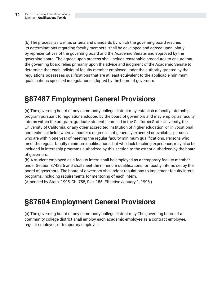(b) The process, as well as criteria and standards by which the governing board reaches its determinations regarding faculty members, shall be developed and agreed upon jointly by representatives of the governing board and the Academic Senate, and approved by the governing board. The agreed upon process shall include reasonable procedures to ensure that the governing board relies primarily upon the advice and judgment of the Academic Senate to determine that each individual faculty member employed under the authority granted by the regulations possesses qualifications that are at least equivalent to the applicable minimum qualifications specified in regulations adopted by the board of governors.

#### **§87487 Employment General Provisions**

(a) The governing board of any community college district may establish a faculty internship program pursuant to regulations adopted by the board of governors and may employ, as faculty interns within the program, graduate students enrolled in the California State University, the University of California, or any other accredited institution of higher education, or, in vocational and technical fields where a master s degree is not generally expected or available, persons who are within one year of meeting the regular faculty minimum qualifications. Persons who meet the regular faculty minimum qualifications, but who lack teaching experience, may also be included in internship programs authorized by this section to the extent authorized by the board of governors.

(b) A student employed as a faculty intern shall be employed as a temporary faculty member under Section 87482.5 and shall meet the minimum qualifications for faculty interns set by the board of governors. The board of governors shall adopt regulations to implement faculty intern programs, including requirements for mentoring of each intern.

(Amended by Stats. 1995, Ch. 758, Sec. 155. Effective January 1, 1996.)

#### **§87604 Employment General Provisions**

(a) The governing board of any community college district may The governing board of a community college district shall employ each academic employee as a contract employee, regular employee, or temporary employee.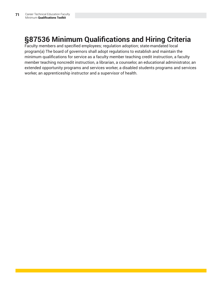### **§87536 Minimum Qualifications and Hiring Criteria**

Faculty members and specified employees; regulation adoption; state-mandated local program(a) The board of governors shall adopt regulations to establish and maintain the minimum qualifications for service as a faculty member teaching credit instruction, a faculty member teaching noncredit instruction, a librarian, a counselor, an educational administrator, an extended opportunity programs and services worker, a disabled students programs and services worker, an apprenticeship instructor and a supervisor of health.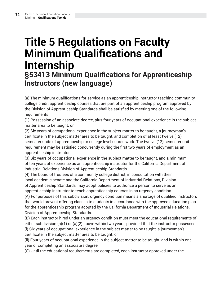### **Title 5 Regulations on Faculty Minimum Qualifications and Internship §53413 Minimum Qualifications for Apprenticeship Instructors (new language)**

(a) The minimum qualifications for service as an apprenticeship instructor teaching community college credit apprenticeship courses that are part of an apprenticeship program approved by the Division of Apprenticeship Standards shall be satisfied by meeting one of the following requirements:

(1) Possession of an associate degree, plus four years of occupational experience in the subject matter area to be taught; or

(2) Six years of occupational experience in the subject matter to be taught, a journeyman's certificate in the subject matter area to be taught, and completion of at least twelve (12) semester units of apprenticeship or college level course work. The twelve (12) semester unit requirement may be satisfied concurrently during the first two years of employment as an apprenticeship instructor.

(3) Six years of occupational experience in the subject matter to be taught, and a minimum of ten years of experience as an apprenticeship instructor for the California Department of Industrial Relations Division of Apprenticeship Standards.

(4) The board of trustees of a community college district, in consultation with their local academic senate and the California Department of Industrial Relations, Division of Apprenticeship Standards, may adopt policies to authorize a person to serve as an apprenticeship instructor to teach apprenticeship courses in an urgency condition.

(A) For purposes of this subdivision, urgency condition means a shortage of qualified instructors that would prevent offering classes to students in accordance with the approved education plan for the apprenticeship program adopted by the California Department of Industrial Relations, Division of Apprenticeship Standards.

(B) Each instructor hired under an urgency condition must meet the educational requirements of either subdivision (a)(1) or (a)(2) above within two years, provided that the instructor possesses: (i) Six years of occupational experience in the subject matter to be taught, a journeyman's certificate in the subject matter area to be taught: or

(ii) Four years of occupational experience in the subject matter to be taught, and is within one year of completing an associate's degree.

(C) Until the educational requirements are completed, each instructor approved under the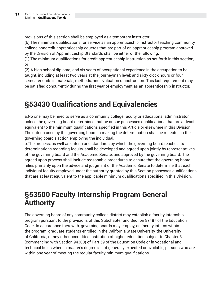provisions of this section shall be employed as a temporary instructor.

(b) The minimum qualifications for service as an apprenticeship instructor teaching community college noncredit apprenticeship courses that are part of an apprenticeship program approved by the Division of Apprenticeship Standards shall be either of the following:

(1) The minimum qualifications for credit apprenticeship instruction as set forth in this section, or

(2) A high school diploma; and six years of occupational experience in the occupation to be taught, including at least two years at the journeyman level; and sixty clock hours or four semester units in materials, methods, and evaluation of instruction. This last requirement may be satisfied concurrently during the first year of employment as an apprenticeship instructor.

# **§53430 Qualifications and Equivalencies**

a.No one may be hired to serve as a community college faculty or educational administrator unless the governing board determines that he or she possesses qualifications that are at least equivalent to the minimum qualifications specified in this Article or elsewhere in this Division. The criteria used by the governing board in making the determination shall be reflected in the governing board's action employing the individual.

b.The process, as well as criteria and standards by which the governing board reaches its determinations regarding faculty, shall be developed and agreed upon jointly by representatives of the governing board and the Academic Senate, and approved by the governing board. The agreed upon process shall include reasonable procedures to ensure that the governing board relies primarily upon the advice and judgment of the Academic Senate to determine that each individual faculty employed under the authority granted by this Section possesses qualifications that are at least equivalent to the applicable minimum qualifications specified in this Division.

### **§53500 Faculty Internship Program General Authority**

The governing board of any community college district may establish a faculty internship program pursuant to the provisions of this Subchapter and Section 87487 of the Education Code. In accordance therewith, governing boards may employ, as faculty interns within the program, graduate students enrolled in the California State University, the University of California, or any other accredited institution of higher education subject to Chapter 3 (commencing with Section 94300) of Part 59 of the Education Code or in vocational and technical fields where a master's degree is not generally expected or available, persons who are within one year of meeting the regular faculty minimum qualifications.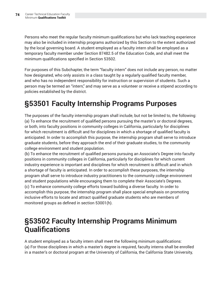Persons who meet the regular faculty minimum qualifications but who lack teaching experience may also be included in internship programs authorized by this Section to the extent authorized by the local governing board. A student employed as a faculty intern shall be employed as a temporary faculty member under Section 87482.5 of the Education Code, and shall meet the minimum qualifications specified in Section 53502.

For purposes of this Subchapter, the term "faculty intern" does not include any person, no matter how designated, who only assists in a class taught by a regularly qualified faculty member, and who has no independent responsibility for instruction or supervision of students. Such a person may be termed an "intern," and may serve as a volunteer or receive a stipend according to policies established by the district.

## **§53501 Faculty Internship Programs Purposes**

The purposes of the faculty internship program shall include, but not be limited to, the following: (a) To enhance the recruitment of qualified persons pursuing the master's or doctoral degrees, or both, into faculty positions in community colleges in California, particularly for disciplines for which recruitment is difficult and for disciplines in which a shortage of qualified faculty is anticipated. In order to accomplish this purpose, the internship program shall serve to introduce graduate students, before they approach the end of their graduate studies, to the community college environment and student population.

(b) To enhance the recruitment of qualified persons pursuing an Associate's Degree into faculty positions in community colleges in California, particularly for disciplines for which current industry experience is important and disciplines for which recruitment is difficult and in which a shortage of faculty is anticipated. In order to accomplish these purposes, the internship program shall serve to introduce industry practitioners to the community college environment and student populations while encouraging them to complete their Associate's Degrees. (c) To enhance community college efforts toward building a diverse faculty. In order to accomplish this purpose, the internship program shall place special emphasis on promoting inclusive efforts to locate and attract qualified graduate students who are members of monitored groups as defined in section 53001(h).

#### **§53502 Faculty Internship Programs Minimum Qualifications**

A student employed as a faculty intern shall meet the following minimum qualifications: (a) For those disciplines in which a master's degree is required, faculty interns shall be enrolled in a master's or doctoral program at the University of California, the California State University,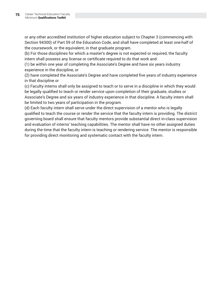or any other accredited institution of higher education subject to Chapter 3 (commencing with Section 94300) of Part 59 of the Education Code, and shall have completed at least one-half of the coursework, or the equivalent, in that graduate program.

(b) For those disciplines for which a master's degree is not expected or required, the faculty intern shall possess any license or certificate required to do that work and

(1) be within one year of completing the Associate's Degree and have six years industry experience in the discipline, or

(2) have completed the Associate's Degree and have completed five years of industry experience in that discipline or

(c) Faculty interns shall only be assigned to teach or to serve in a discipline in which they would be legally qualified to teach or render service upon completion of their graduate, studies or Associate's Degree and six years of industry experience in that discipline. A faculty intern shall be limited to two years of participation in the program.

(d) Each faculty intern shall serve under the direct supervision of a mentor who is legally qualified to teach the course or render the service that the faculty intern is providing. The district governing board shall ensure that faculty mentors provide substantial direct in-class supervision and evaluation of interns' teaching capabilities. The mentor shall have no other assigned duties during the time that the faculty intern is teaching or rendering service. The mentor is responsible for providing direct monitoring and systematic contact with the faculty intern.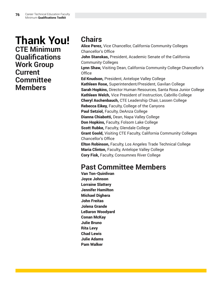**Thank You! CTE Minimum Qualifications Work Group Current Committee Members**

#### **Chairs**

Alice Perez, Vice Chancellor, California Community Colleges Chancellor's Office John Stanskas, President, Academic Senate of the California Community Colleges Lynn Shaw, Visiting Dean, California Community College Chancellor's **Office** Ed Knudson, President, Antelope Valley College Kathleen Rose, Superintendent/President, Gavilan College Sarah Hopkins, Director Human Resources, Santa Rosa Junior College Kathleen Welch, Vice President of Instruction, Cabrillo College Cheryl Aschenbauch, CTE Leadership Chair, Lassen College Rebecca Eikey, Faculty, College of the Canyons Paul Setziol, Faculty, DeAnza College Dianna Chiabotti, Dean, Napa Valley College Don Hopkins, Faculty, Folsom Lake College Scott Rubke, Faculty, Glendale College **Grant Goold, Visiting CTE Faculty, California Community Colleges** Chancellor's Office Elton Robinson, Faculty, Los Angeles Trade Technical College Maria Clinton, Faculty, Antelope Valley College Cory Fisk, Faculty, Consumnes River College

### **Past Committee Members**

Van Ton-Quinlivan Joyce Johnson Lorraine Slattery Jennifer Hamilton **Michael Dighera** John Freitas Jolena Grande LeBaron Woodyard Conan McKay Julie Bruno Rita Levy Chad Lewis Julie Adams Pam Walker